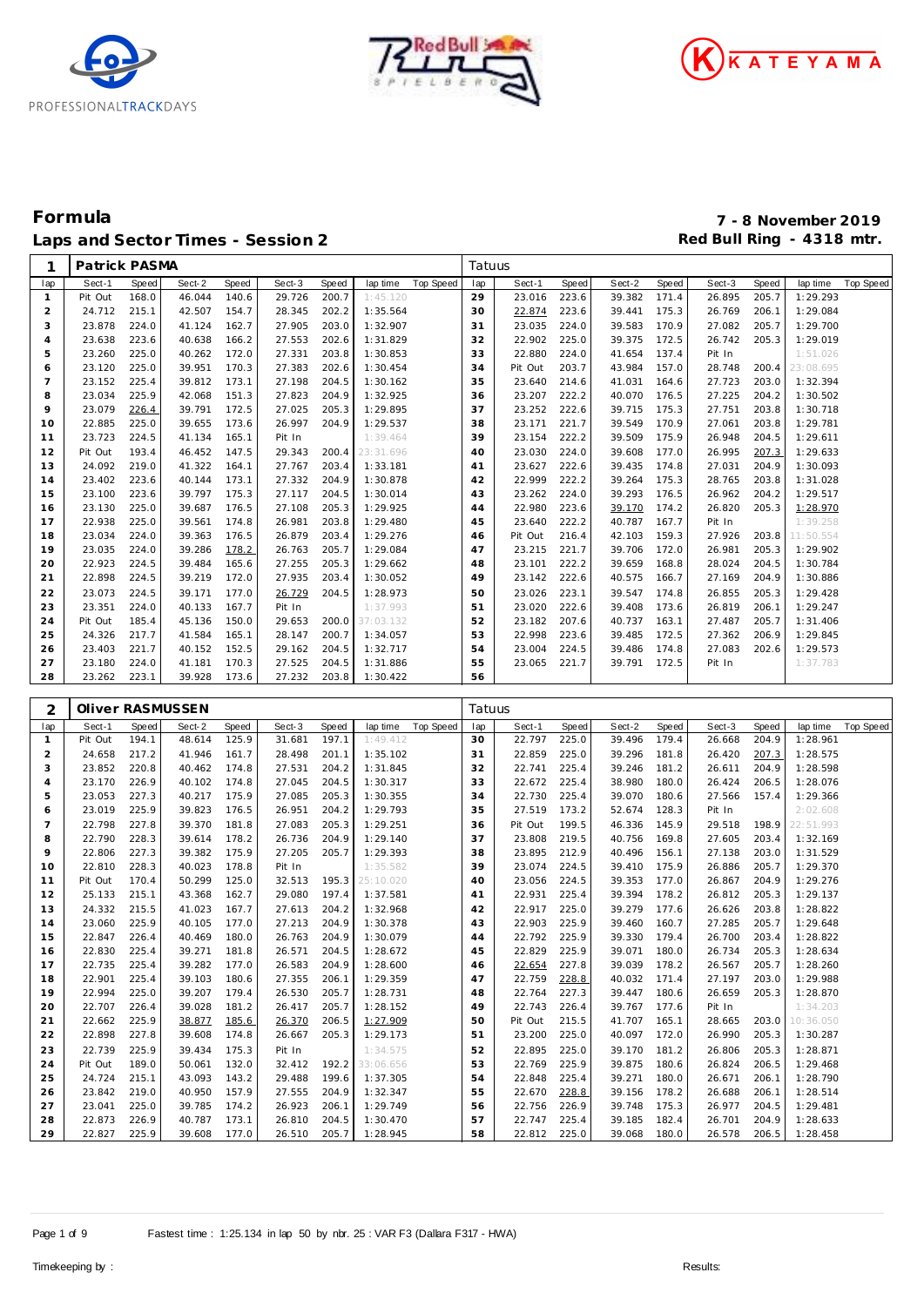





| 1              | Patrick PASMA    |                |                  |                |                  |                |           |                  | Tatuus   |                  |       |              |       |        |       |           |           |
|----------------|------------------|----------------|------------------|----------------|------------------|----------------|-----------|------------------|----------|------------------|-------|--------------|-------|--------|-------|-----------|-----------|
| lap            | Sect-1           | Speed          | Sect-2           | Speed          | Sect-3           | Speed          | lap time  | <b>Top Speed</b> | lap      | Sect-1           | Speed | Sect-2       | Speed | Sect-3 | Speed | lap time  | Top Speed |
| $\mathbf{1}$   | Pit Out          | 168.0          | 46.044           | 140.6          | 29.726           | 200.7          | 1:45.120  |                  | 29       | 23.016           | 223.6 | 39.382       | 171.4 | 26.895 | 205.7 | 1:29.293  |           |
| $\overline{2}$ | 24.712           | 215.1          | 42.507           | 154.7          | 28.345           | 202.2          | 1:35.564  |                  | 30       | 22.874           | 223.6 | 39.441       | 175.3 | 26.769 | 206.1 | 1:29.084  |           |
| 3              | 23.878           | 224.0          | 41.124           | 162.7          | 27.905           | 203.0          | 1:32.907  |                  | 31       | 23.035           | 224.0 | 39.583       | 170.9 | 27.082 | 205.7 | 1:29.700  |           |
| $\overline{4}$ | 23.638           | 223.6          | 40.638           | 166.2          | 27.553           | 202.6          | 1:31.829  |                  | 32       | 22.902           | 225.0 | 39.375       | 172.5 | 26.742 | 205.3 | 1:29.019  |           |
| 5              | 23.260           | 225.0          | 40.262           | 172.0          | 27.331           | 203.8          | 1:30.853  |                  | 33       | 22.880           | 224.0 | 41.654       | 137.4 | Pit In |       | 1:51.026  |           |
| 6              | 23.120           | 225.0          | 39.951           | 170.3          | 27.383           | 202.6          | 1:30.454  |                  | 34       | Pit Out          | 203.7 | 43.984       | 157.0 | 28.748 | 200.4 | 23:08.695 |           |
| $\overline{7}$ | 23.152           | 225.4          | 39.812           | 173.1          | 27.198           | 204.5          | 1:30.162  |                  | 35       | 23.640           | 214.6 | 41.031       | 164.6 | 27.723 | 203.0 | 1:32.394  |           |
| 8              | 23.034           | 225.9          | 42.068           | 151.3          | 27.823           | 204.9          | 1:32.925  |                  | 36       | 23.207           | 222.2 | 40.070       | 176.5 | 27.225 | 204.2 | 1:30.502  |           |
| 9              | 23.079           | 226.4          | 39.791           | 172.5          | 27.025           | 205.3          | 1:29.895  |                  | 37       | 23.252           | 222.6 | 39.715       | 175.3 | 27.751 | 203.8 | 1:30.718  |           |
| 10             | 22.885           | 225.0          | 39.655           | 173.6          | 26.997           | 204.9          | 1:29.537  |                  | 38       | 23.171           | 221.7 | 39.549       | 170.9 | 27.061 | 203.8 | 1:29.781  |           |
| 11             | 23.723           | 224.5          | 41.134           | 165.1          | Pit In           |                | 1:39.464  |                  | 39       | 23.154           | 222.2 | 39.509       | 175.9 | 26.948 | 204.5 | 1:29.611  |           |
| 12             | Pit Out          | 193.4          | 46.452           | 147.5          | 29.343           | 200.4          | 23:31.696 |                  | 40       | 23.030           | 224.0 | 39.608       | 177.0 | 26.995 | 207.3 | 1:29.633  |           |
| 13             | 24.092           | 219.0          | 41.322           | 164.1          | 27.767           | 203.4          | 1:33.181  |                  | 41       | 23.627           | 222.6 | 39.435       | 174.8 | 27.031 | 204.9 | 1:30.093  |           |
| 14             | 23.402           | 223.6          | 40.144           | 173.1          | 27.332           | 204.9          | 1:30.878  |                  | 42       | 22.999           | 222.2 | 39.264       | 175.3 | 28.765 | 203.8 | 1:31.028  |           |
| 15             | 23.100           | 223.6          | 39.797           | 175.3          | 27.117           | 204.5          | 1:30.014  |                  | 43       | 23.262           | 224.0 | 39.293       | 176.5 | 26.962 | 204.2 | 1:29.517  |           |
| 16             | 23.130           | 225.0          | 39.687           | 176.5          | 27.108           | 205.3          | 1:29.925  |                  | 44       | 22.980           | 223.6 | 39.170       | 174.2 | 26.820 | 205.3 | 1:28.970  |           |
| 17             | 22.938           | 225.0          | 39.561           | 174.8          | 26.981           | 203.8          | 1:29.480  |                  | 45       | 23.640           | 222.2 | 40.787       | 167.7 | Pit In |       | 1:39.258  |           |
| 18             | 23.034           | 224.0          | 39.363           | 176.5          | 26.879           | 203.4          | 1:29.276  |                  | 46       | Pit Out          | 216.4 | 42.103       | 159.3 | 27.926 | 203.8 | 11:50.554 |           |
| 19             | 23.035           | 224.0          | 39.286           | 178.2          | 26.763           | 205.7          | 1:29.084  |                  | 47       | 23.215           | 221.7 | 39.706       | 172.0 | 26.981 | 205.3 | 1:29.902  |           |
| 20             | 22.923           | 224.5          | 39.484           | 165.6          | 27.255           | 205.3          | 1:29.662  |                  | 48       | 23.101           | 222.2 | 39.659       | 168.8 | 28.024 | 204.5 | 1:30.784  |           |
| 21             | 22.898           | 224.5          | 39.219           | 172.0          | 27.935           | 203.4          | 1:30.052  |                  | 49       | 23.142           | 222.6 | 40.575       | 166.7 | 27.169 | 204.9 | 1:30.886  |           |
| 22             | 23.073           | 224.5          | 39.171           | 177.0          | 26.729           | 204.5          | 1:28.973  |                  | 50       | 23.026           | 223.1 | 39.547       | 174.8 | 26.855 | 205.3 | 1:29.428  |           |
| 23             | 23.351           | 224.0          | 40.133           | 167.7          | Pit In           |                | 1:37.993  |                  | 51       | 23.020           | 222.6 | 39.408       | 173.6 | 26.819 | 206.1 | 1:29.247  |           |
| 24             | Pit Out          | 185.4          | 45.136           | 150.0          | 29.653           | 200.0          | 37:03.132 |                  | 52       | 23.182           | 207.6 | 40.737       | 163.1 | 27.487 | 205.7 | 1:31.406  |           |
| 25             | 24.326           | 217.7          | 41.584           | 165.1          | 28.147           | 200.7          |           |                  | 53       | 22.998           | 223.6 | 39.485       | 172.5 | 27.362 | 206.9 | 1:29.845  |           |
|                |                  |                |                  |                |                  |                | 1:34.057  |                  |          |                  |       |              |       |        |       | 1:29.573  |           |
| 26             | 23.403<br>23.180 | 221.7<br>224.0 | 40.152           | 152.5          | 29.162           | 204.5<br>204.5 | 1:32.717  |                  | 54       | 23.004<br>23.065 | 224.5 | 39.486       | 174.8 | 27.083 | 202.6 |           |           |
| 27<br>28       | 23.262           | 223.1          | 41.181<br>39.928 | 170.3<br>173.6 | 27.525<br>27.232 | 203.8          | 1:31.886  |                  | 55<br>56 |                  | 221.7 | 39.791       | 172.5 | Pit In |       | 1:37.783  |           |
|                |                  |                |                  |                |                  |                | 1:30.422  |                  |          |                  |       |              |       |        |       |           |           |
|                |                  |                |                  |                |                  |                |           |                  |          |                  |       |              |       |        |       |           |           |
|                |                  |                |                  |                |                  |                |           |                  |          |                  |       |              |       |        |       |           |           |
| 2              |                  |                | Oliver RASMUSSEN |                |                  |                |           |                  | Tatuus   |                  |       |              |       |        |       |           |           |
| lap            | Sect-1           | Speed          | Sect-2           | Speed          | Sect-3           | Speed          | lap time  | Top Speed        | lap      | Sect-1           | Speed | Sect-2       | Speed | Sect-3 | Speed | lap time  | Top Speed |
| $\mathbf{1}$   | Pit Out          | 194.1          | 48.614           | 125.9          | 31.681           | 197.1          | 1:49.412  |                  | 30       | 22.797           | 225.0 | 39.496       | 179.4 | 26.668 | 204.9 | 1:28.961  |           |
| $\overline{2}$ | 24.658           | 217.2          | 41.946           | 161.7          | 28.498           | 201.1          | 1:35.102  |                  | 31       | 22.859           | 225.0 | 39.296       | 181.8 | 26.420 | 207.3 | 1:28.575  |           |
| 3              | 23.852           | 220.8          | 40.462           | 174.8          | 27.531           | 204.2          | 1:31.845  |                  | 32       | 22.741           | 225.4 | 39.246       | 181.2 | 26.611 | 204.9 | 1:28.598  |           |
| 4              | 23.170           | 226.9          | 40.102           | 174.8          | 27.045           | 204.5          | 1:30.317  |                  | 33       | 22.672           | 225.4 | 38.980       | 180.0 | 26.424 | 206.5 | 1:28.076  |           |
| 5              | 23.053           | 227.3          | 40.217           | 175.9          | 27.085           | 205.3          | 1:30.355  |                  | 34       | 22.730           | 225.4 | 39.070       | 180.6 | 27.566 | 157.4 | 1:29.366  |           |
| 6              | 23.019           | 225.9          | 39.823           | 176.5          | 26.951           | 204.2          | 1:29.793  |                  | 35       | 27.519           | 173.2 | 52.674       | 128.3 | Pit In |       | 2:02.608  |           |
| $\overline{7}$ | 22.798           | 227.8          | 39.370           | 181.8          | 27.083           | 205.3          | 1:29.251  |                  | 36       | Pit Out          | 199.5 | 46.336       | 145.9 | 29.518 | 198.9 | 22:51.993 |           |
| 8              | 22.790           | 228.3          | 39.614           | 178.2          | 26.736           | 204.9          | 1:29.140  |                  | 37       | 23.808           | 219.5 | 40.756       | 169.8 | 27.605 | 203.4 | 1:32.169  |           |
| 9              | 22.806           | 227.3          | 39.382           | 175.9          | 27.205           | 205.7          | 1:29.393  |                  | 38       | 23.895           | 212.9 | 40.496       | 156.1 | 27.138 | 203.0 | 1:31.529  |           |
| 10             | 22.810           | 228.3          | 40.023           | 178.8          | Pit In           |                | 1:35.582  |                  | 39       | 23.074           | 224.5 | 39.410       | 175.9 | 26.886 | 205.7 | 1:29.370  |           |
| 11             | Pit Out          | 170.4          | 50.299           | 125.0          | 32.513           | 195.3          | 25:10.020 |                  | 40       | 23.056           | 224.5 | 39.353       | 177.0 | 26.867 | 204.9 | 1:29.276  |           |
| 12             | 25.133           | 215.1          | 43.368           | 162.7          | 29.080           | 197.4          | 1:37.581  |                  | 41       | 22.931           | 225.4 | 39.394       | 178.2 | 26.812 | 205.3 | 1:29.137  |           |
| 13             | 24.332           | 215.5          | 41.023           | 167.7          | 27.613           | 204.2          | 1:32.968  |                  | 42       | 22.917           | 225.0 | 39.279       | 177.6 | 26.626 | 203.8 | 1:28.822  |           |
| 14             | 23.060           | 225.9          | 40.105           | 177.0          | 27.213           | 204.9          | 1:30.378  |                  | 43       | 22.903           | 225.9 | 39.460       | 160.7 | 27.285 | 205.7 | 1:29.648  |           |
| 15             | 22.847           | 226.4          | 40.469           | 180.0          | 26.763           | 204.9          | 1:30.079  |                  | 44       | 22.792           | 225.9 | 39.330 179.4 |       | 26.700 | 203.4 | 1:28.822  |           |
| 16             | 22.830           | 225.4          | 39.271           | 181.8          | 26.571           | 204.5          | 1:28.672  |                  | 45       | 22.829 225.9     |       | 39.071 180.0 |       | 26.734 | 205.3 | 1:28.634  |           |
| 17             | 22.735           | 225.4          | 39.282 177.0     |                | 26.583           | 204.9          | 1:28.600  |                  | 46       | <u>22.654</u>    | 227.8 | 39.039 178.2 |       | 26.567 | 205.7 | 1:28.260  |           |
| 18             | 22.901           | 225.4          | 39.103           | 180.6          | 27.355           | 206.1          | 1:29.359  |                  | 47       | 22.759           | 228.8 | 40.032 171.4 |       | 27.197 | 203.0 | 1:29.988  |           |
| 19             | 22.994           | 225.0          | 39.207           | 179.4          | 26.530           | 205.7          | 1:28.731  |                  | 48       | 22.764           | 227.3 | 39.447 180.6 |       | 26.659 | 205.3 | 1:28.870  |           |
| 20             | 22.707           | 226.4          | 39.028           | 181.2          | 26.417           | 205.7          | 1:28.152  |                  | 49       | 22.743           | 226.4 | 39.767 177.6 |       | Pit In |       | 1:34.203  |           |
| 21             | 22.662           | 225.9          | 38.877           | 185.6          | 26.370           | 206.5          | 1:27.909  |                  | 50       | Pit Out          | 215.5 | 41.707 165.1 |       | 28.665 | 203.0 | 10:36.050 |           |
| 22             | 22.898           | 227.8          | 39.608           | 174.8          | 26.667           | 205.3          | 1:29.173  |                  | 51       | 23.200           | 225.0 | 40.097 172.0 |       | 26.990 | 205.3 | 1:30.287  |           |
| 23             | 22.739           | 225.9          | 39.434           | 175.3          | Pit In           |                | 1:34.575  |                  | 52       | 22.895           | 225.0 | 39.170 181.2 |       | 26.806 | 205.3 | 1:28.871  |           |
| 24             | Pit Out          | 189.0          | 50.061           | 132.0          | 32.412 192.2     |                | 33:06.656 |                  | 53       | 22.769           | 225.9 | 39.875       | 180.6 | 26.824 | 206.5 | 1:29.468  |           |
| 25             | 24.724           | 215.1          | 43.093           | 143.2          | 29.488           | 199.6          | 1:37.305  |                  | 54       | 22.848           | 225.4 | 39.271 180.0 |       | 26.671 | 206.1 | 1:28.790  |           |
| 26             | 23.842           | 219.0          | 40.950           | 157.9          | 27.555           | 204.9          | 1:32.347  |                  | 55       | 22.670           | 228.8 | 39.156 178.2 |       | 26.688 | 206.1 | 1:28.514  |           |
| 27             | 23.041           | 225.0          | 39.785           | 174.2          | 26.923           | 206.1          | 1:29.749  |                  | 56       | 22.756           | 226.9 | 39.748 175.3 |       | 26.977 | 204.5 | 1:29.481  |           |
| 28             | 22.873           | 226.9          | 40.787           | 173.1          | 26.810           | 204.5          | 1:30.470  |                  | 57       | 22.747           | 225.4 | 39.185 182.4 |       | 26.701 | 204.9 | 1:28.633  |           |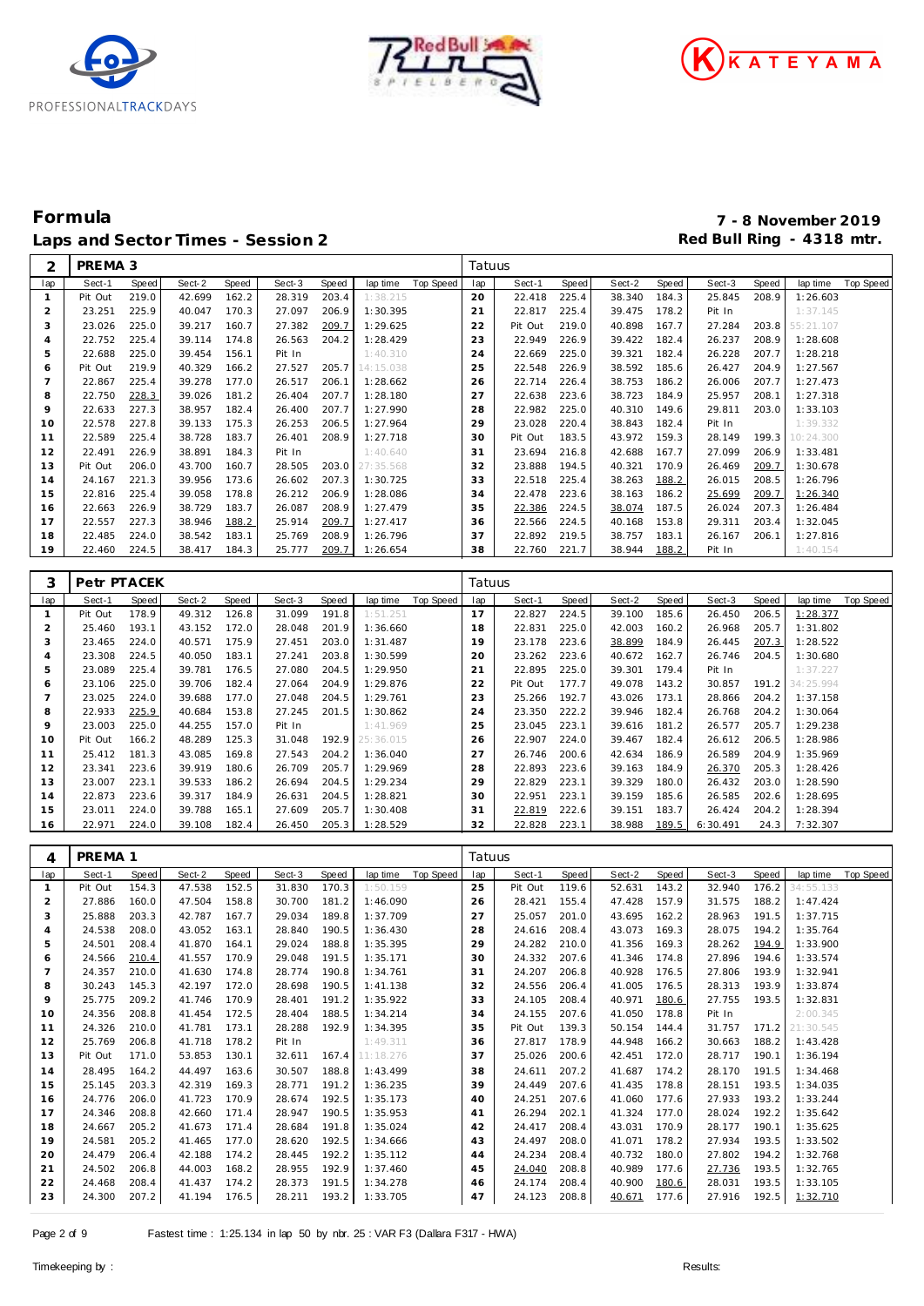





## **Formula 7 - 8 November 2019** Laps and Sector Times - Session 2<br> **Red Bull Ring - 4318 mtr.**<br> **Red Bull Ring - 4318 mtr.**

| 2                   | PREMA 3           |                |                  |                |                  |                       |                      |                  | Tatuus    |                  |                |                  |                |                  |                |                      |                  |
|---------------------|-------------------|----------------|------------------|----------------|------------------|-----------------------|----------------------|------------------|-----------|------------------|----------------|------------------|----------------|------------------|----------------|----------------------|------------------|
| lap                 | Sect-1            | Speed          | Sect-2           | Speed          | Sect-3           | Speed                 | lap time             | Top Speed        | lap       | Sect-1           | Speed          | Sect-2           | Speed          | Sect-3           | Speed          | lap time             | <b>Top Speed</b> |
| $\mathbf{1}$        | Pit Out           | 219.0          | 42.699           | 162.2          | 28.319           | 203.4                 | 1:38.215             |                  | 20        | 22.418           | 225.4          | 38.340           | 184.3          | 25.845           | 208.9          | 1:26.603             |                  |
| $\overline{2}$      | 23.251            | 225.9          | 40.047           | 170.3          | 27.097           | 206.9                 | 1:30.395             |                  | 21        | 22.817           | 225.4          | 39.475           | 178.2          | Pit In           |                | 1:37.145             |                  |
| 3                   | 23.026            | 225.0          | 39.217           | 160.7          | 27.382           | 209.7                 | 1:29.625             |                  | 22        | Pit Out          | 219.0          | 40.898           | 167.7          | 27.284           | 203.8          | 55:21.107            |                  |
| $\overline{4}$      | 22.752            | 225.4          | 39.114           | 174.8          | 26.563           | 204.2                 | 1:28.429             |                  | 23        | 22.949           | 226.9          | 39.422           | 182.4          | 26.237           | 208.9          | 1:28.608             |                  |
| 5                   | 22.688            | 225.0          | 39.454           | 156.1          | Pit In           |                       | 1:40.310             |                  | 24        | 22.669           | 225.0          | 39.321           | 182.4          | 26.228           | 207.7          | 1:28.218             |                  |
| 6                   | Pit Out           | 219.9          | 40.329           | 166.2          | 27.527           | 205.7                 | 14:15.038            |                  | 25        | 22.548           | 226.9          | 38.592           | 185.6          | 26.427           | 204.9          | 1:27.567             |                  |
| $\overline{7}$      | 22.867            | 225.4          | 39.278           | 177.0          | 26.517           | 206.1                 | 1:28.662             |                  | 26        | 22.714           | 226.4          | 38.753           | 186.2          | 26.006           | 207.7          | 1:27.473             |                  |
| 8                   | 22.750            | 228.3          | 39.026           | 181.2          | 26.404           | 207.7                 | 1:28.180             |                  | 27        | 22.638           | 223.6          | 38.723           | 184.9          | 25.957           | 208.1          | 1:27.318             |                  |
| 9                   | 22.633            | 227.3          | 38.957           | 182.4          | 26.400           | 207.7                 | 1:27.990             |                  | 28        | 22.982           | 225.0          | 40.310           | 149.6          | 29.811           | 203.0          | 1:33.103             |                  |
| 10                  | 22.578            | 227.8          | 39.133           | 175.3          | 26.253           | 206.5                 | 1:27.964             |                  | 29        | 23.028           | 220.4          | 38.843           | 182.4          | Pit In           |                | 1:39.332             |                  |
| 11                  | 22.589            | 225.4          | 38.728           | 183.7          | 26.401           | 208.9                 | 1:27.718             |                  | 30        | Pit Out          | 183.5          | 43.972           | 159.3          | 28.149           | 199.3          | 10:24.300            |                  |
| 12                  | 22.491            | 226.9          | 38.891           | 184.3          | Pit In           |                       | 1:40.640             |                  | 31        | 23.694           | 216.8          | 42.688           | 167.7          | 27.099           | 206.9          | 1:33.481             |                  |
| 13                  | Pit Out           | 206.0          | 43.700           | 160.7          | 28.505           | 203.0                 | 27:35.568            |                  | 32        | 23.888           | 194.5          | 40.321           | 170.9          | 26.469           | 209.7          | 1:30.678             |                  |
| 14                  | 24.167            | 221.3          | 39.956           | 173.6          | 26.602           | 207.3                 | 1:30.725             |                  | 33        | 22.518           | 225.4          | 38.263           | 188.2          | 26.015           | 208.5          | 1:26.796             |                  |
| 15                  | 22.816            | 225.4          | 39.058           | 178.8          | 26.212           | 206.9                 | 1:28.086             |                  | 34        | 22.478           | 223.6          | 38.163           | 186.2          | 25.699           | 209.7          | 1:26.340             |                  |
| 16                  | 22.663            | 226.9          | 38.729           | 183.7          | 26.087           | 208.9                 | 1:27.479             |                  | 35        | 22.386           | 224.5          | 38.074           | 187.5          | 26.024           | 207.3          | 1:26.484             |                  |
| 17                  | 22.557            | 227.3          | 38.946           | 188.2          | 25.914           | 209.7                 | 1:27.417             |                  | 36        | 22.566           | 224.5          | 40.168           | 153.8          | 29.311           | 203.4          | 1:32.045             |                  |
| 18                  | 22.485            | 224.0          | 38.542           | 183.1          | 25.769           | 208.9                 | 1:26.796             |                  | 37        | 22.892           | 219.5          | 38.757           | 183.1          | 26.167           | 206.1          | 1:27.816             |                  |
| 19                  | 22.460            | 224.5          | 38.417           | 184.3          | 25.777           | 209.7                 | 1:26.654             |                  | 38        | 22.760           | 221.7          | 38.944           | 188.2          | Pit In           |                | 1:40.154             |                  |
|                     |                   |                |                  |                |                  |                       |                      |                  |           |                  |                |                  |                |                  |                |                      |                  |
| 3                   | Petr PTACEK       |                |                  |                |                  |                       |                      |                  | Tatuus    |                  |                |                  |                |                  |                |                      |                  |
|                     |                   |                |                  |                |                  |                       |                      |                  |           |                  |                |                  |                |                  |                |                      |                  |
| lap<br>$\mathbf{1}$ | Sect-1<br>Pit Out | Speed<br>178.9 | Sect-2<br>49.312 | Speed<br>126.8 | Sect-3<br>31.099 | <b>Speed</b><br>191.8 | lap time<br>1:51.251 | <b>Top Speed</b> | lap<br>17 | Sect-1<br>22.827 | Speed<br>224.5 | Sect-2<br>39.100 | Speed<br>185.6 | Sect-3<br>26.450 | Speed<br>206.5 | lap time<br>1:28.377 | Top Speed        |
| $\overline{2}$      | 25.460            | 193.1          | 43.152           | 172.0          | 28.048           | 201.9                 | 1:36.660             |                  | 18        | 22.831           | 225.0          | 42.003           | 160.2          | 26.968           | 205.7          | 1:31.802             |                  |
| 3                   | 23.465            | 224.0          | 40.571           | 175.9          | 27.451           | 203.0                 | 1:31.487             |                  | 19        | 23.178           | 223.6          | 38.899           | 184.9          | 26.445           | 207.3          | 1:28.522             |                  |
| $\overline{4}$      | 23.308            | 224.5          | 40.050           | 183.1          | 27.241           | 203.8                 | 1:30.599             |                  | 20        | 23.262           | 223.6          | 40.672           | 162.7          | 26.746           | 204.5          | 1:30.680             |                  |
| 5                   | 23.089            | 225.4          | 39.781           | 176.5          | 27.080           | 204.5                 | 1:29.950             |                  | 21        | 22.895           | 225.0          | 39.301           | 179.4          | Pit In           |                | 1:37.227             |                  |
| 6                   | 23.106            | 225.0          | 39.706           | 182.4          | 27.064           | 204.9                 | 1:29.876             |                  | 22        | Pit Out          | 177.7          | 49.078           | 143.2          | 30.857           | 191.2          | 34:25.994            |                  |
| $\overline{7}$      | 23.025            | 224.0          | 39.688           | 177.0          | 27.048           | 204.5                 | 1:29.761             |                  | 23        | 25.266           | 192.7          | 43.026           | 173.1          | 28.866           | 204.2          | 1:37.158             |                  |
| 8                   | 22.933            | 225.9          | 40.684           | 153.8          | 27.245           | 201.5                 | 1:30.862             |                  | 24        | 23.350           | 222.2          | 39.946           | 182.4          | 26.768           | 204.2          | 1:30.064             |                  |
| 9                   | 23.003            | 225.0          | 44.255           | 157.0          | Pit In           |                       | 1:41.969             |                  | 25        | 23.045           | 223.1          | 39.616           | 181.2          | 26.577           | 205.7          | 1:29.238             |                  |
| 10                  | Pit Out           | 166.2          | 48.289           | 125.3          | 31.048           | 192.9                 | 25:36.015            |                  | 26        | 22.907           | 224.0          | 39.467           | 182.4          | 26.612           | 206.5          | 1:28.986             |                  |
| 11                  | 25.412            | 181.3          | 43.085           | 169.8          | 27.543           | 204.2                 | 1:36.040             |                  | 27        | 26.746           | 200.6          | 42.634           | 186.9          | 26.589           | 204.9          | 1:35.969             |                  |
| 12                  | 23.341            | 223.6          | 39.919           | 180.6          | 26.709           | 205.7                 | 1:29.969             |                  | 28        | 22.893           | 223.6          | 39.163           | 184.9          | 26.370           | 205.3          | 1:28.426             |                  |
| 13                  | 23.007            | 223.1          | 39.533           | 186.2          | 26.694           | 204.5                 | 1:29.234             |                  | 29        | 22.829           | 223.1          | 39.329           | 180.0          | 26.432           | 203.0          | 1:28.590             |                  |
| 14                  | 22.873            | 223.6          | 39.317           | 184.9          | 26.631           | 204.5                 | 1:28.821             |                  | 30        | 22.951           | 223.1          | 39.159           | 185.6          | 26.585           | 202.6          | 1:28.695             |                  |
| 15                  | 23.011            | 224.0          | 39.788           | 165.1          | 27.609           | 205.7                 | 1:30.408             |                  | 31        | 22.819           | 222.6          | 39.151           | 183.7          | 26.424           | 204.2          | 1:28.394             |                  |
| 16                  | 22.971            | 224.0          | 39.108           | 182.4          | 26.450           | 205.3                 | 1:28.529             |                  | 32        | 22.828           | 223.1          | 38.988           | 189.5          | 6:30.491         | 24.3           | 7:32.307             |                  |
|                     |                   |                |                  |                |                  |                       |                      |                  |           |                  |                |                  |                |                  |                |                      |                  |
| 4                   | PREMA 1           |                |                  |                |                  |                       |                      |                  | Tatuus    |                  |                |                  |                |                  |                |                      |                  |
| lap                 | Sect-1            | Speed          | Sect-2           | Speed          | Sect-3           | Speed                 | lap time             | Top Speed        | lap       | Sect-1           | Speed          | Sect-2           | Speed          | Sect-3           | Speed          | lap time             | <b>Top Speed</b> |
| $\mathbf{1}$        | Pit Out           | 154.3          | 47.538           | 152.5          | 31.830           | 170.3                 | 1:50.159             |                  | 25        | Pit Out          | 119.6          | 52.631           | 143.2          | 32.940           | 176.2          | 34:55.133            |                  |
| $\overline{2}$      | 27.886            | 160.0          | 47.504           | 158.8          | 30.700           | 181.2                 | 1:46.090             |                  | 26        | 28.421           | 155.4          | 47.428           | 157.9          | 31.575           | 188.2          | 1:47.424             |                  |
| 3                   | 25.888            | 203.3          | 42.787           | 167.7          | 29.034           | 189.8                 | 1:37.709             |                  | 27        | 25.057           | 201.0          | 43.695           | 162.2          | 28.963           | 191.5          | 1:37.715             |                  |
| $\overline{4}$      | 24.538            | 208.0          | 43.052           | 163.1          | 28.840           | 190.5                 | 1:36.430             |                  | 28        | 24.616           | 208.4          | 43.073           | 169.3          | 28.075           | 194.2          | 1:35.764             |                  |
| 5                   | 24.501            | 208.4          | 41.870           | 164.1          | 29.024           | 188.8                 | 1:35.395             |                  | 29        | 24.282           | 210.0          | 41.356           | 169.3          | 28.262           | 194.9          | 1:33.900             |                  |
| 6                   | 24.566            | 210.4          | 41.557           | 170.9          | 29.048           | 191.5                 | 1:35.171             |                  | 30        | 24.332           | 207.6          | 41.346           | 174.8          | 27.896           | 194.6          | 1:33.574             |                  |
| $\overline{7}$      | 24.357            | 210.0          | 41.630 174.8     |                | 28.774           | 190.8                 | 1:34.761             |                  | 31        | 24.207           | 206.8          | 40.928 176.5     |                | 27.806           | 193.9          | 1:32.941             |                  |
| 8                   | 30.243            | 145.3          | 42.197           | 172.0          | 28.698           | 190.5                 | 1:41.138             |                  | 32        | 24.556           | 206.4          | 41.005           | 176.5          | 28.313           | 193.9          | 1:33.874             |                  |
| 9                   | 25.775            | 209.2          | 41.746           | 170.9          | 28.401           | 191.2                 | 1:35.922             |                  | 33        | 24.105           | 208.4          | 40.971           | 180.6          | 27.755           | 193.5          | 1:32.831             |                  |
| 10                  | 24.356            | 208.8          | 41.454           | 172.5          | 28.404           | 188.5                 | 1:34.214             |                  | 34        | 24.155           | 207.6          | 41.050           | 178.8          | Pit In           |                | 2:00.345             |                  |
| 11                  | 24.326            | 210.0          | 41.781           | 173.1          | 28.288           | 192.9                 | 1:34.395             |                  | 35        | Pit Out          | 139.3          | 50.154           | 144.4          | 31.757           | 171.2          | 21:30.545            |                  |
| 12                  | 25.769            | 206.8          | 41.718           | 178.2          | Pit In           |                       | 1:49.311             |                  | 36        | 27.817           | 178.9          | 44.948           | 166.2          | 30.663           | 188.2          | 1:43.428             |                  |
| 13                  | Pit Out           | 171.0          | 53.853           | 130.1          | 32.611 167.4     |                       | 11:18.276            |                  | 37        | 25.026           | 200.6          | 42.451           | 172.0          | 28.717           | 190.1          | 1:36.194             |                  |
| 14                  | 28.495            | 164.2          | 44.497           | 163.6          | 30.507           | 188.8                 | 1:43.499             |                  | 38        | 24.611           | 207.2          | 41.687           | 174.2          | 28.170           | 191.5          | 1:34.468             |                  |
| 15                  | 25.145            | 203.3          | 42.319           | 169.3          | 28.771           | 191.2                 | 1:36.235             |                  | 39        | 24.449           | 207.6          | 41.435           | 178.8          | 28.151           | 193.5          | 1:34.035             |                  |
| 16                  | 24.776            | 206.0          | 41.723           | 170.9          | 28.674           | 192.5                 | 1:35.173             |                  | 40        | 24.251           | 207.6          | 41.060           | 177.6          | 27.933           | 193.2          | 1:33.244             |                  |
| 17                  | 24.346            | 208.8          | 42.660           | 171.4          | 28.947           | 190.5                 | 1:35.953             |                  | 41        | 26.294           | 202.1          | 41.324 177.0     |                | 28.024           | 192.2          | 1:35.642             |                  |
| 18                  | 24.667            | 205.2          | 41.673           | 171.4          | 28.684           | 191.8                 | 1:35.024             |                  | 42        | 24.417           | 208.4          | 43.031 170.9     |                | 28.177           | 190.1          | 1:35.625             |                  |
| 19                  | 24.581            | 205.2          | 41.465           | 177.0          | 28.620           | 192.5                 | 1:34.666             |                  | 43        | 24.497           | 208.0          | 41.071 178.2     |                | 27.934           | 193.5          | 1:33.502             |                  |
| 20                  | 24.479            | 206.4          | 42.188           | 174.2          | 28.445           | 192.2                 | 1:35.112             |                  | 44        | 24.234           | 208.4          | 40.732           | 180.0          | 27.802           | 194.2          | 1:32.768             |                  |
| 21                  | 24.502            | 206.8<br>208.4 | 44.003<br>41.437 | 168.2<br>174.2 | 28.955<br>28.373 | 192.9<br>191.5        | 1:37.460             |                  | 45        | 24.040<br>24.174 | 208.8<br>208.4 | 40.989<br>40.900 | 177.6          | 27.736<br>28.031 | 193.5<br>193.5 | 1:32.765             |                  |
| 22<br>23            | 24.468<br>24.300  | 207.2          | 41.194           | 176.5          | 28.211 193.2     |                       | 1:34.278<br>1:33.705 |                  | 46<br>47  | 24.123           | 208.8          | 40.671 177.6     | 180.6          | 27.916 192.5     |                | 1:33.105<br>1:32.710 |                  |
|                     |                   |                |                  |                |                  |                       |                      |                  |           |                  |                |                  |                |                  |                |                      |                  |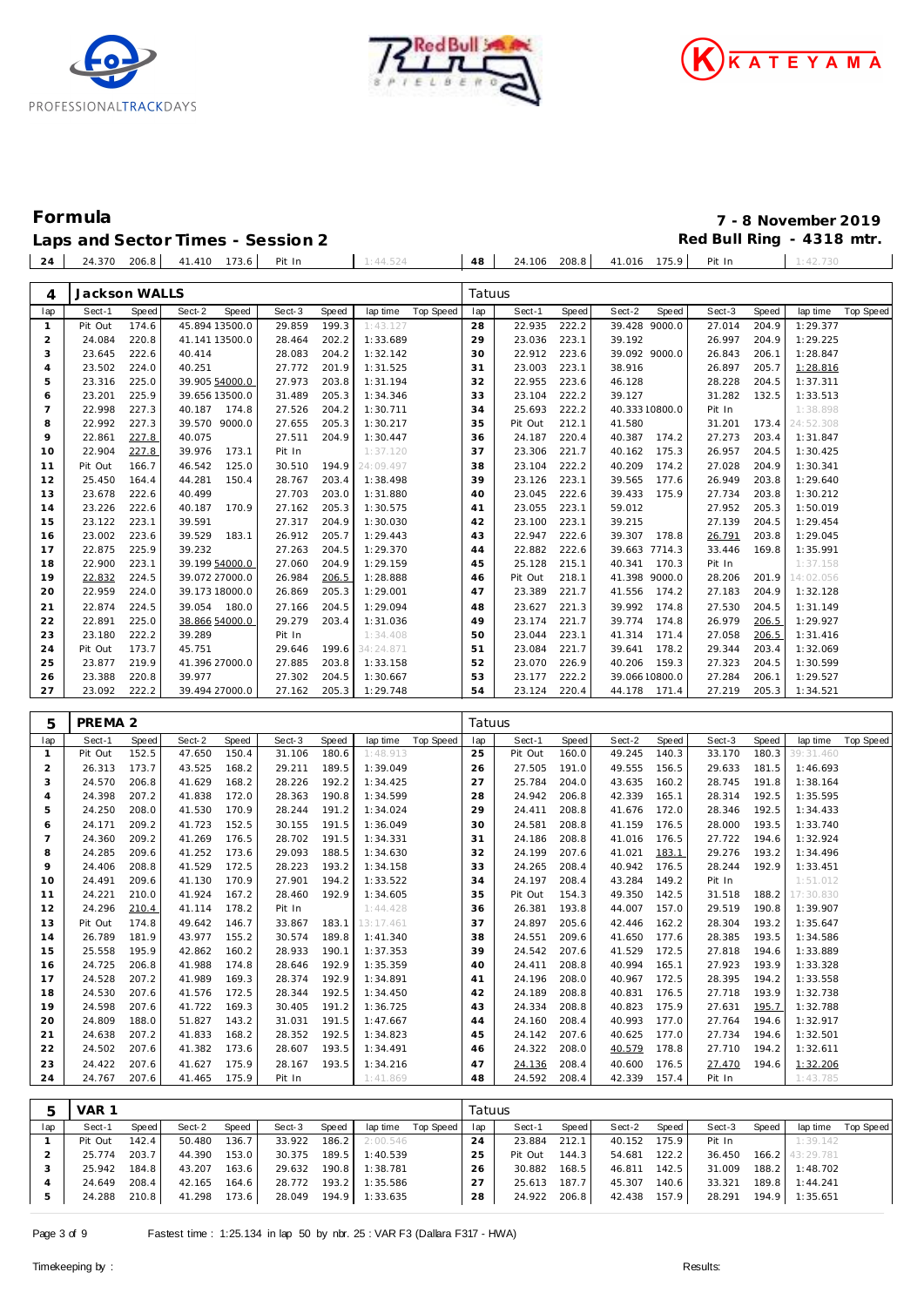





## **Formula 7 - 8 November 2019**

Laps and Sector Times - Session 2 **Red Bull Ring - 4318 mtr.** 

| 24 | 24.370 206.8 41.410 173.6 |  | Pit In | 1:44.524 | 48 |  | 24.106 208.8 41.016 175.9 + | Pit In |  |
|----|---------------------------|--|--------|----------|----|--|-----------------------------|--------|--|
|    |                           |  |        |          |    |  |                             |        |  |

| 4                   | Jackson WALLS                |                |                  |                         |                        |                |                      |                  | Tatuus   |                  |                |        |                       |                  |                |                      |                  |
|---------------------|------------------------------|----------------|------------------|-------------------------|------------------------|----------------|----------------------|------------------|----------|------------------|----------------|--------|-----------------------|------------------|----------------|----------------------|------------------|
| lap                 | Sect-1                       | Speed          | Sect-2           | Speed                   | Sect-3                 | Speed          | lap time             | <b>Top Speed</b> | lap      | Sect-1           | Speed          | Sect-2 | Speed                 | Sect-3           | Speed          | lap time             | <b>Top Speed</b> |
| $\mathbf{1}$        | Pit Out                      | 174.6          |                  | 45.894 13500.0          | 29.859                 | 199.3          | 1:43.127             |                  | 28       | 22.935           | 222.2          |        | 39.428 9000.0         | 27.014           | 204.9          | 1:29.377             |                  |
| $\overline{c}$      | 24.084                       | 220.8          |                  | 41.141 13500.0          | 28.464                 | 202.2          | 1:33.689             |                  | 29       | 23.036           | 223.1          | 39.192 |                       | 26.997           | 204.9          | 1:29.225             |                  |
| 3                   | 23.645                       | 222.6          | 40.414           |                         | 28.083                 | 204.2          | 1:32.142             |                  | 30       | 22.912           | 223.6          |        | 39.092 9000.0         | 26.843           | 206.1          | 1:28.847             |                  |
| $\overline{4}$      | 23.502                       | 224.0          | 40.251           |                         | 27.772                 | 201.9          | 1:31.525             |                  | 31       | 23.003           | 223.1          | 38.916 |                       | 26.897           | 205.7          | 1:28.816             |                  |
| 5                   | 23.316                       | 225.0          |                  | 39.905 54000.0          | 27.973                 | 203.8<br>205.3 | 1:31.194             |                  | 32       | 22.955           | 223.6          | 46.128 |                       | 28.228           | 204.5          | 1:37.311             |                  |
| 6<br>$\overline{7}$ | 23.201<br>22.998             | 225.9<br>227.3 | 40.187           | 39.656 13500.0<br>174.8 | 31.489<br>27.526       | 204.2          | 1:34.346<br>1:30.711 |                  | 33<br>34 | 23.104<br>25.693 | 222.2<br>222.2 | 39.127 | 40.333 10800.0        | 31.282<br>Pit In | 132.5          | 1:33.513<br>1:38.898 |                  |
| 8                   | 22.992                       | 227.3          |                  | 39.570 9000.0           | 27.655                 | 205.3          | 1:30.217             |                  | 35       | Pit Out          | 212.1          | 41.580 |                       | 31.201           | 173.4          | 24:52.308            |                  |
| 9                   | 22.861                       | 227.8          | 40.075           |                         | 27.511                 | 204.9          | 1:30.447             |                  | 36       | 24.187           | 220.4          | 40.387 | 174.2                 | 27.273           | 203.4          | 1:31.847             |                  |
| 10                  | 22.904                       | 227.8          | 39.976           | 173.1                   | Pit In                 |                | 1:37.120             |                  | 37       | 23.306           | 221.7          | 40.162 | 175.3                 | 26.957           | 204.5          | 1:30.425             |                  |
| 11                  | Pit Out                      | 166.7          | 46.542           | 125.0                   | 30.510                 | 194.9          | 24:09.497            |                  | 38       | 23.104           | 222.2          | 40.209 | 174.2                 | 27.028           | 204.9          | 1:30.341             |                  |
| 12                  | 25.450                       | 164.4          | 44.281           | 150.4                   | 28.767                 | 203.4          | 1:38.498             |                  | 39       | 23.126           | 223.1          | 39.565 | 177.6                 | 26.949           | 203.8          | 1:29.640             |                  |
| 13                  | 23.678                       | 222.6          | 40.499           |                         | 27.703                 | 203.0          | 1:31.880             |                  | 40       | 23.045           | 222.6          | 39.433 | 175.9                 | 27.734           | 203.8          | 1:30.212             |                  |
| 14                  | 23.226                       | 222.6          | 40.187           | 170.9                   | 27.162                 | 205.3          | 1:30.575             |                  | 41       | 23.055           | 223.1          | 59.012 |                       | 27.952           | 205.3          | 1:50.019             |                  |
| 15                  | 23.122                       | 223.1          | 39.591           |                         | 27.317                 | 204.9          | 1:30.030             |                  | 42       | 23.100           | 223.1          | 39.215 |                       | 27.139           | 204.5          | 1:29.454             |                  |
| 16                  | 23.002                       | 223.6          | 39.529           | 183.1                   | 26.912                 | 205.7          | 1:29.443             |                  | 43       | 22.947           | 222.6          |        | 39.307 178.8          | 26.791           | 203.8          | 1:29.045             |                  |
| 17                  | 22.875                       | 225.9          | 39.232           |                         | 27.263                 | 204.5          | 1:29.370             |                  | 44       | 22.882           | 222.6          |        | 39.663 7714.3         | 33.446           | 169.8          | 1:35.991             |                  |
| 18                  | 22.900                       | 223.1          |                  | 39.199 54000.0          | 27.060                 | 204.9          | 1:29.159             |                  | 45       | 25.128           | 215.1          |        | 40.341 170.3          | Pit In           |                | 1:37.158             |                  |
| 19                  | 22.832                       | 224.5          |                  | 39.072 27000.0          | 26.984                 | 206.5          | 1:28.888             |                  | 46       | Pit Out          | 218.1          |        | 41.398 9000.0         | 28.206           | 201.9          | 14:02.056            |                  |
| 20                  | 22.959                       | 224.0          |                  | 39.173 18000.0          | 26.869                 | 205.3          | 1:29.001             |                  | 47       | 23.389           | 221.7          | 41.556 | 174.2                 | 27.183           | 204.9          | 1:32.128             |                  |
| 21                  | 22.874                       | 224.5          | 39.054           | 180.0                   | 27.166                 | 204.5          | 1:29.094             |                  | 48       | 23.627           | 221.3          | 39.992 | 174.8                 | 27.530           | 204.5          | 1:31.149             |                  |
| 22                  | 22.891                       | 225.0          |                  | 38.866 54000.0          | 29.279                 | 203.4          | 1:31.036             |                  | 49       | 23.174           | 221.7          | 39.774 | 174.8                 | 26.979           | 206.5          | 1:29.927             |                  |
| 23                  | 23.180                       | 222.2          | 39.289           |                         | Pit In                 |                | 1:34.408             |                  | 50       | 23.044           | 223.1          | 41.314 | 171.4                 | 27.058           | 206.5          | 1:31.416             |                  |
| 24                  | Pit Out                      | 173.7          | 45.751           |                         | 29.646                 | 199.6          | 34:24.871            |                  | 51       | 23.084           | 221.7          | 39.641 | 178.2                 | 29.344           | 203.4          | 1:32.069             |                  |
| 25                  | 23.877                       | 219.9          |                  | 41.396 27000.0          | 27.885                 | 203.8          | 1:33.158             |                  | 52       | 23.070           | 226.9          | 40.206 | 159.3                 | 27.323           | 204.5          | 1:30.599             |                  |
| 26                  | 23.388                       | 220.8          | 39.977           |                         | 27.302                 | 204.5          | 1:30.667             |                  | 53       | 23.177           | 222.2          |        | 39.066 10800.0        | 27.284           | 206.1          | 1:29.527             |                  |
| 27                  | 23.092                       | 222.2          |                  | 39.494 27000.0          | 27.162                 | 205.3          | 1:29.748             |                  | 54       | 23.124           | 220.4          |        | 44.178 171.4          | 27.219           | 205.3          | 1:34.521             |                  |
|                     |                              |                |                  |                         |                        |                |                      |                  |          |                  |                |        |                       |                  |                |                      |                  |
|                     |                              |                |                  |                         |                        |                |                      |                  | Tatuus   |                  |                |        |                       |                  |                |                      |                  |
| 5<br>lap            | PREMA <sub>2</sub><br>Sect-1 | Speed          | Sect-2           | Speed                   | Sect-3                 | Speed          | lap time             | <b>Top Speed</b> | lap      | Sect-1           | Speed          | Sect-2 | Speed                 | Sect-3           | Speed          | lap time             | Top Speed        |
| $\mathbf{1}$        | Pit Out                      | 152.5          | 47.650           | 150.4                   | 31.106                 | 180.6          | 1:48.913             |                  | 25       | Pit Out          | 160.0          | 49.245 | 140.3                 | 33.170           | 180.3          | 39:31.460            |                  |
| $\overline{2}$      | 26.313                       | 173.7          | 43.525           | 168.2                   | 29.211                 | 189.5          | 1:39.049             |                  | 26       | 27.505           | 191.0          | 49.555 | 156.5                 | 29.633           | 181.5          | 1:46.693             |                  |
| 3                   | 24.570                       | 206.8          | 41.629           | 168.2                   | 28.226                 | 192.2          | 1:34.425             |                  | 27       | 25.784           | 204.0          | 43.635 | 160.2                 | 28.745           | 191.8          | 1:38.164             |                  |
| $\overline{4}$      | 24.398                       | 207.2          | 41.838           | 172.0                   | 28.363                 | 190.8          | 1:34.599             |                  | 28       | 24.942           | 206.8          | 42.339 | 165.1                 | 28.314           | 192.5          | 1:35.595             |                  |
| 5                   | 24.250                       | 208.0          | 41.530           | 170.9                   | 28.244                 | 191.2          | 1:34.024             |                  | 29       | 24.411           | 208.8          | 41.676 | 172.0                 | 28.346           | 192.5          | 1:34.433             |                  |
| 6                   | 24.171                       | 209.2          | 41.723           | 152.5                   | 30.155                 | 191.5          | 1:36.049             |                  | 30       | 24.581           | 208.8          | 41.159 | 176.5                 | 28.000           | 193.5          | 1:33.740             |                  |
| $\overline{7}$      | 24.360                       | 209.2          | 41.269           | 176.5                   | 28.702                 | 191.5          | 1:34.331             |                  | 31       | 24.186           | 208.8          | 41.016 | 176.5                 | 27.722           | 194.6          | 1:32.924             |                  |
| 8                   | 24.285                       | 209.6          | 41.252           | 173.6                   | 29.093                 | 188.5          | 1:34.630             |                  | 32       | 24.199           | 207.6          | 41.021 | 183.1                 | 29.276           | 193.2          | 1:34.496             |                  |
| 9                   | 24.406                       | 208.8          | 41.529           | 172.5                   | 28.223                 | 193.2          | 1:34.158             |                  | 33       | 24.265           | 208.4          | 40.942 | 176.5                 | 28.244           | 192.9          | 1:33.451             |                  |
| 10                  | 24.491                       | 209.6          | 41.130           | 170.9                   | 27.901                 | 194.2          | 1:33.522             |                  | 34       | 24.197           | 208.4          | 43.284 | 149.2                 | Pit In           |                | 1:51.012             |                  |
| 11                  | 24.221                       | 210.0          | 41.924           | 167.2                   | 28.460                 | 192.9          | 1:34.605             |                  | 35       | Pit Out          | 154.3          | 49.350 | 142.5                 | 31.518           | 188.2          | 17:30.830            |                  |
| 12                  | 24.296                       | 210.4          | 41.114           | 178.2                   | Pit In                 |                | 1:44.428             |                  | 36       | 26.381           | 193.8          | 44.007 | 157.0                 | 29.519           | 190.8          | 1:39.907             |                  |
| 13                  | Pit Out                      | 174.8          | 49.642           | 146.7                   | 33.867                 | 183.1          | 13:17.461            |                  | 37       | 24.897           | 205.6          | 42.446 | 162.2                 | 28.304           | 193.2          | 1:35.647             |                  |
| 14                  | 26.789                       | 181.9          | 43.977           | 155.2                   | 30.574                 | 189.8          | 1:41.340             |                  | 38       | 24.551           | 209.6          | 41.650 | 177.6                 | 28.385           | 193.5          | 1:34.586             |                  |
| 15                  | 25.558                       | 195.9          | 42.862           | 160.2                   | 28.933                 | 190.1          | 1:37.353             |                  | 39       | 24.542           | 207.6          | 41.529 | 172.5                 | 27.818           | 194.6          | 1:33.889             |                  |
| 16                  | 24.725                       | 206.8          | 41.988           | 174.8                   | 28.646                 | 192.9          | 1:35.359             |                  | 40       | 24.411           | 208.8          | 40.994 | 165.1                 | 27.923           | 193.9          | 1:33.328             |                  |
| 17                  | 24.528                       | 207.2          |                  | 41.989 169.3            | 28.374                 | 192.9          | 1:34.891             |                  | 41       | 24.196 208.0     |                |        | 40.967 172.5          | 28.395 194.2     |                | 1:33.558             |                  |
| 18                  | 24.530                       | 207.6          |                  | 41.576 172.5            | 28.344 192.5           |                | 1:34.450             |                  | 42       | 24.189           | 208.8          |        | 40.831 176.5          | 27.718 193.9     |                | 1:32.738             |                  |
| 19                  | 24.598                       | 207.6          | 41.722           | 169.3                   | 30.405                 | 191.2          | 1:36.725             |                  | 43       | 24.334           | 208.8          |        | 40.823 175.9          | 27.631           | 195.7          | 1:32.788             |                  |
| 20                  | 24.809                       | 188.0          | 51.827           | 143.2                   | 31.031                 | 191.5          | 1:47.667             |                  | 44       | 24.160           | 208.4          |        | 40.993 177.0          | 27.764           | 194.6          | 1:32.917             |                  |
| 21<br>22            | 24.638                       | 207.2          | 41.833           | 168.2<br>173.6          | 28.352                 | 192.5<br>193.5 | 1:34.823             |                  | 45       | 24.142           | 207.6          |        | 40.625 177.0          | 27.734           | 194.6          | 1:32.501             |                  |
| 23                  | 24.502<br>24.422             | 207.6<br>207.6 | 41.382<br>41.627 | 175.9                   | 28.607<br>28.167 193.5 |                | 1:34.491             |                  | 46<br>47 | 24.322           | 208.0<br>208.4 | 40.600 | 40.579 178.8<br>176.5 | 27.710<br>27.470 | 194.2<br>194.6 | 1:32.611             |                  |
| 24                  | 24.767                       | 207.6          | 41.465           | 175.9                   | Pit In                 |                | 1:34.216<br>1:41.869 |                  | 48       | 24.136<br>24.592 | 208.4          | 42.339 | 157.4                 | Pit In           |                | 1:32.206<br>1:43.785 |                  |
|                     |                              |                |                  |                         |                        |                |                      |                  |          |                  |                |        |                       |                  |                |                      |                  |
| 5                   | VAR 1                        |                |                  |                         |                        |                |                      |                  | Tatuus   |                  |                |        |                       |                  |                |                      |                  |

|     | <b>VAR</b> |       |        |       |        |         |                       |           | Tatuus. |              |       |        |       |        |       |                     |           |
|-----|------------|-------|--------|-------|--------|---------|-----------------------|-----------|---------|--------------|-------|--------|-------|--------|-------|---------------------|-----------|
| lap | Sect-1     | Speed | Sect-2 | Speed | Sect-3 | Speed   | lap time              | Top Speed | lap     | Sect-1       | Speed | Sect-2 | Speed | Sect-3 | Speed | lap time            | Top Speed |
|     | Pit Out    | 142.4 | 50.480 | 136.7 | 33.922 |         | $186.2$ 2:00.546      |           | 24      | 23.884       | 212.1 | 40.152 | 175.9 | Pit In |       | 1:39.142            |           |
|     | 25.774     | 203.7 | 44.390 | 153.0 | 30.375 | 189.5   | 1:40.539              |           | 25      | Pit Out      | 144.3 | 54.681 | 122.2 | 36.450 |       | $166.2$ $43:29.781$ |           |
|     | 25.942     | 184.8 | 43.207 | 163.6 | 29.632 | 190.8   | 1:38.781              |           | 26      | 30.882       | 168.5 | 46.811 | 142.5 | 31.009 |       | 188.2 1:48.702      |           |
|     | 24.649     | 208.4 | 42.165 | 164.6 | 28.772 | $193.2$ | 1:35.586              |           | 27      | 25.613       | 187.7 | 45.307 | 140.6 | 33.321 |       | 189.8 1:44.241      |           |
|     | 24.288     | 210.8 | 41.298 | 173.6 |        |         | 28.049 194.9 1:33.635 |           | 28      | 24.922 206.8 |       | 42.438 | 157.9 | 28.291 |       | 194.9 1:35.651      |           |
|     |            |       |        |       |        |         |                       |           |         |              |       |        |       |        |       |                     |           |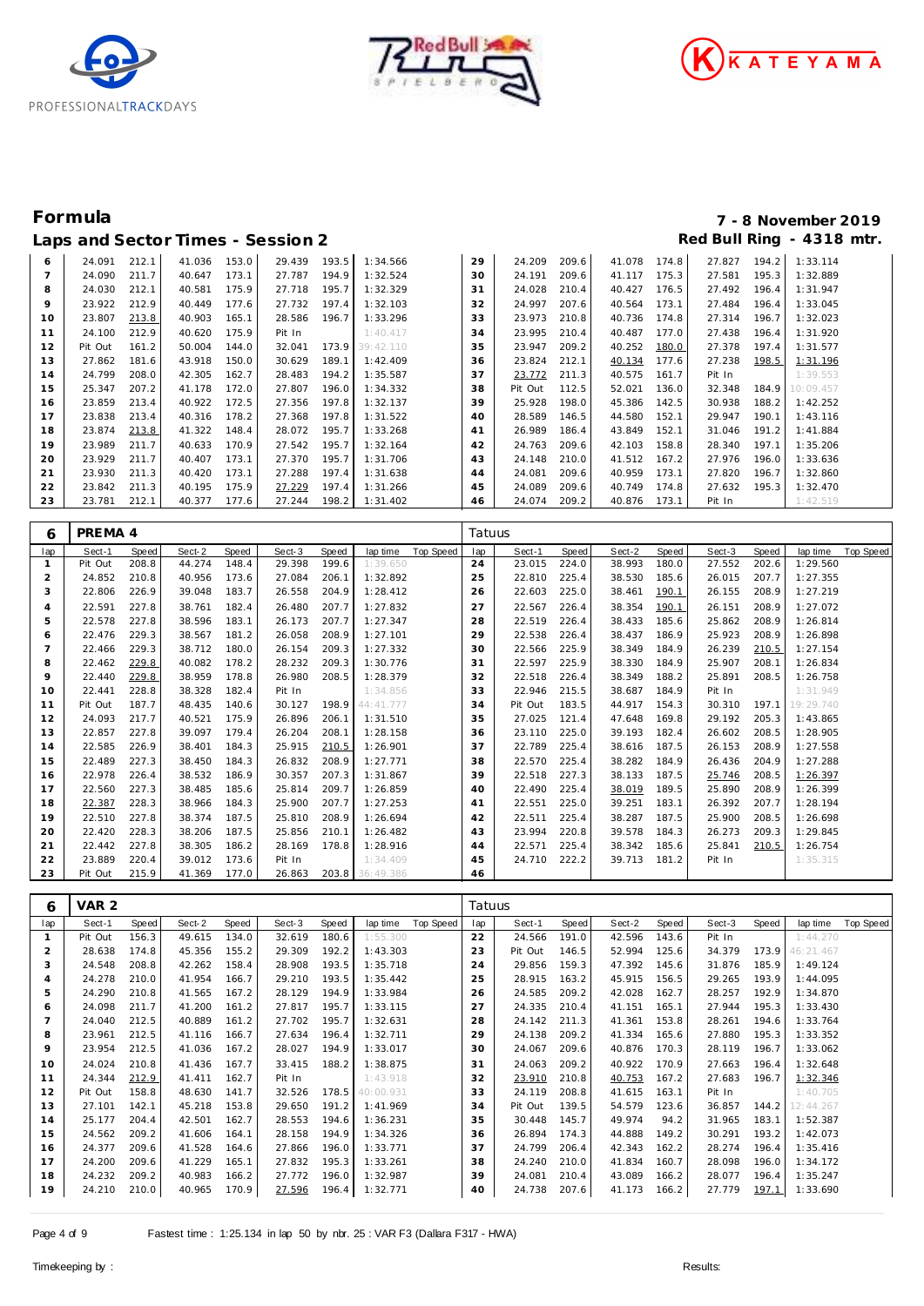





# **Formula 7 - 8 November 2019**

|    |         |       |        |       | Laps and Sector Times - Session 2 |       |                 |    |         |       |        |       |        |       | Red Bull Ring - 4318 mtr. |
|----|---------|-------|--------|-------|-----------------------------------|-------|-----------------|----|---------|-------|--------|-------|--------|-------|---------------------------|
| 6  | 24.091  | 212.1 | 41.036 | 153.0 | 29.439                            | 193.5 | 1:34.566        | 29 | 24.209  | 209.6 | 41.078 | 174.8 | 27.827 | 194.2 | 1:33.114                  |
|    | 24.090  | 211.7 | 40.647 | 173.1 | 27.787                            | 194.9 | 1:32.524        | 30 | 24.191  | 209.6 | 41.117 | 175.3 | 27.581 | 195.3 | 1:32.889                  |
| 8  | 24.030  | 212.1 | 40.581 | 175.9 | 27.718                            | 195.7 | 1:32.329        | 31 | 24.028  | 210.4 | 40.427 | 176.5 | 27.492 | 196.4 | 1:31.947                  |
| 9  | 23.922  | 212.9 | 40.449 | 177.6 | 27.732                            | 197.4 | 1:32.103        | 32 | 24.997  | 207.6 | 40.564 | 173.1 | 27.484 | 196.4 | 1:33.045                  |
| 10 | 23.807  | 213.8 | 40.903 | 165.1 | 28.586                            | 196.7 | 1:33.296        | 33 | 23.973  | 210.8 | 40.736 | 174.8 | 27.314 | 196.7 | 1:32.023                  |
| 11 | 24.100  | 212.9 | 40.620 | 175.9 | Pit In                            |       | 1:40.417        | 34 | 23.995  | 210.4 | 40.487 | 177.0 | 27.438 | 196.4 | 1:31.920                  |
| 12 | Pit Out | 161.2 | 50.004 | 144.0 | 32.041                            |       | 173.9 39:42.110 | 35 | 23.947  | 209.2 | 40.252 | 180.0 | 27.378 | 197.4 | 1:31.577                  |
| 13 | 27.862  | 181.6 | 43.918 | 150.0 | 30.629                            | 189.1 | 1:42.409        | 36 | 23.824  | 212.1 | 40.134 | 177.6 | 27.238 | 198.5 | 1:31.196                  |
| 14 | 24.799  | 208.0 | 42.305 | 162.7 | 28.483                            | 194.2 | 1:35.587        | 37 | 23.772  | 211.3 | 40.575 | 161.7 | Pit In |       | 1:39.553                  |
| 15 | 25.347  | 207.2 | 41.178 | 172.0 | 27.807                            | 196.0 | 1:34.332        | 38 | Pit Out | 112.5 | 52.021 | 136.0 | 32.348 | 184.9 | 10:09.457                 |
| 16 | 23.859  | 213.4 | 40.922 | 172.5 | 27.356                            | 197.8 | 1:32.137        | 39 | 25.928  | 198.0 | 45.386 | 142.5 | 30.938 | 188.2 | 1:42.252                  |
| 17 | 23.838  | 213.4 | 40.316 | 178.2 | 27.368                            | 197.8 | 1:31.522        | 40 | 28.589  | 146.5 | 44.580 | 152.1 | 29.947 | 190.1 | 1:43.116                  |
| 18 | 23.874  | 213.8 | 41.322 | 148.4 | 28.072                            | 195.7 | 1:33.268        | 41 | 26.989  | 186.4 | 43.849 | 152.1 | 31.046 | 191.2 | 1:41.884                  |
| 19 | 23.989  | 211.7 | 40.633 | 170.9 | 27.542                            | 195.7 | 1:32.164        | 42 | 24.763  | 209.6 | 42.103 | 158.8 | 28.340 | 197.1 | 1:35.206                  |
| 20 | 23.929  | 211.7 | 40.407 | 173.1 | 27.370                            | 195.7 | 1:31.706        | 43 | 24.148  | 210.0 | 41.512 | 167.2 | 27.976 | 196.0 | 1:33.636                  |
| 21 | 23.930  | 211.3 | 40.420 | 173.1 | 27.288                            | 197.4 | 1:31.638        | 44 | 24.081  | 209.6 | 40.959 | 173.1 | 27.820 | 196.7 | 1:32.860                  |
| 22 | 23.842  | 211.3 | 40.195 | 175.9 | 27.229                            | 197.4 | 1:31.266        | 45 | 24.089  | 209.6 | 40.749 | 174.8 | 27.632 | 195.3 | 1:32.470                  |
| 23 | 23.781  | 212.1 | 40.377 | 177.6 | 27.244                            | 198.2 | 1:31.402        | 46 | 24.074  | 209.2 | 40.876 | 173.1 | Pit In |       | 1:42.519                  |

| 6              | PREMA 4 |       |        |       |        |       |                 |           | Tatuus |         |       |        |       |        |       |           |           |
|----------------|---------|-------|--------|-------|--------|-------|-----------------|-----------|--------|---------|-------|--------|-------|--------|-------|-----------|-----------|
| lap            | Sect-1  | Speed | Sect-2 | Speed | Sect-3 | Speed | lap time        | Top Speed | lap    | Sect-1  | Speed | Sect-2 | Speed | Sect-3 | Speed | lap time  | Top Speed |
| $\mathbf{1}$   | Pit Out | 208.8 | 44.274 | 148.4 | 29.398 | 199.6 | 1:39.650        |           | 24     | 23.015  | 224.0 | 38.993 | 180.0 | 27.552 | 202.6 | 1:29.560  |           |
| 2              | 24.852  | 210.8 | 40.956 | 173.6 | 27.084 | 206.1 | 1:32.892        |           | 25     | 22.810  | 225.4 | 38.530 | 185.6 | 26.015 | 207.7 | 1:27.355  |           |
| 3              | 22.806  | 226.9 | 39.048 | 183.7 | 26.558 | 204.9 | 1:28.412        |           | 26     | 22.603  | 225.0 | 38.461 | 190.1 | 26.155 | 208.9 | 1:27.219  |           |
| 4              | 22.591  | 227.8 | 38.761 | 182.4 | 26.480 | 207.7 | 1:27.832        |           | 27     | 22.567  | 226.4 | 38.354 | 190.1 | 26.151 | 208.9 | 1:27.072  |           |
| 5              | 22.578  | 227.8 | 38.596 | 183.1 | 26.173 | 207.7 | 1:27.347        |           | 28     | 22.519  | 226.4 | 38.433 | 185.6 | 25.862 | 208.9 | 1:26.814  |           |
| 6              | 22.476  | 229.3 | 38.567 | 181.2 | 26.058 | 208.9 | 1:27.101        |           | 29     | 22.538  | 226.4 | 38.437 | 186.9 | 25.923 | 208.9 | 1:26.898  |           |
| $\overline{7}$ | 22.466  | 229.3 | 38.712 | 180.0 | 26.154 | 209.3 | 1:27.332        |           | 30     | 22.566  | 225.9 | 38.349 | 184.9 | 26.239 | 210.5 | 1:27.154  |           |
| 8              | 22.462  | 229.8 | 40.082 | 178.2 | 28.232 | 209.3 | 1:30.776        |           | 31     | 22.597  | 225.9 | 38.330 | 184.9 | 25.907 | 208.1 | 1:26.834  |           |
| 9              | 22.440  | 229.8 | 38.959 | 178.8 | 26.980 | 208.5 | 1:28.379        |           | 32     | 22.518  | 226.4 | 38.349 | 188.2 | 25.891 | 208.5 | 1:26.758  |           |
| 10             | 22.441  | 228.8 | 38.328 | 182.4 | Pit In |       | 1:34.856        |           | 33     | 22.946  | 215.5 | 38.687 | 184.9 | Pit In |       | 1:31.949  |           |
| 11             | Pit Out | 187.7 | 48.435 | 140.6 | 30.127 | 198.9 | 44:41.777       |           | 34     | Pit Out | 183.5 | 44.917 | 154.3 | 30.310 | 197.1 | 19:29.740 |           |
| 12             | 24.093  | 217.7 | 40.521 | 175.9 | 26.896 | 206.1 | 1:31.510        |           | 35     | 27.025  | 121.4 | 47.648 | 169.8 | 29.192 | 205.3 | 1:43.865  |           |
| 13             | 22.857  | 227.8 | 39.097 | 179.4 | 26.204 | 208.1 | 1:28.158        |           | 36     | 23.110  | 225.0 | 39.193 | 182.4 | 26.602 | 208.5 | 1:28.905  |           |
| 14             | 22.585  | 226.9 | 38.401 | 184.3 | 25.915 | 210.5 | 1:26.901        |           | 37     | 22.789  | 225.4 | 38.616 | 187.5 | 26.153 | 208.9 | 1:27.558  |           |
| 15             | 22.489  | 227.3 | 38.450 | 184.3 | 26.832 | 208.9 | 1:27.771        |           | 38     | 22.570  | 225.4 | 38.282 | 184.9 | 26.436 | 204.9 | 1:27.288  |           |
| 16             | 22.978  | 226.4 | 38.532 | 186.9 | 30.357 | 207.3 | 1:31.867        |           | 39     | 22.518  | 227.3 | 38.133 | 187.5 | 25.746 | 208.5 | 1:26.397  |           |
| 17             | 22.560  | 227.3 | 38.485 | 185.6 | 25.814 | 209.7 | 1:26.859        |           | 40     | 22.490  | 225.4 | 38.019 | 189.5 | 25.890 | 208.9 | 1:26.399  |           |
| 18             | 22.387  | 228.3 | 38.966 | 184.3 | 25.900 | 207.7 | 1:27.253        |           | 41     | 22.551  | 225.0 | 39.251 | 183.1 | 26.392 | 207.7 | 1:28.194  |           |
| 19             | 22.510  | 227.8 | 38.374 | 187.5 | 25.810 | 208.9 | 1:26.694        |           | 42     | 22.511  | 225.4 | 38.287 | 187.5 | 25.900 | 208.5 | 1:26.698  |           |
| 20             | 22.420  | 228.3 | 38.206 | 187.5 | 25.856 | 210.1 | 1:26.482        |           | 43     | 23.994  | 220.8 | 39.578 | 184.3 | 26.273 | 209.3 | 1:29.845  |           |
| 21             | 22.442  | 227.8 | 38.305 | 186.2 | 28.169 | 178.8 | 1:28.916        |           | 44     | 22.571  | 225.4 | 38.342 | 185.6 | 25.841 | 210.5 | 1:26.754  |           |
| 22             | 23.889  | 220.4 | 39.012 | 173.6 | Pit In |       | 1:34.409        |           | 45     | 24.710  | 222.2 | 39.713 | 181.2 | Pit In |       | 1:35.315  |           |
| 23             | Pit Out | 215.9 | 41.369 | 177.0 | 26.863 |       | 203.8 36:49.386 |           | 46     |         |       |        |       |        |       |           |           |

| 6              | VAR <sub>2</sub> |       |        |       |        |       |           |           | Tatuus |         |       |        |       |        |       |           |           |
|----------------|------------------|-------|--------|-------|--------|-------|-----------|-----------|--------|---------|-------|--------|-------|--------|-------|-----------|-----------|
| lap            | Sect-1           | Speed | Sect-2 | Speed | Sect-3 | Speed | lap time  | Top Speed | lap    | Sect-1  | Speed | Sect-2 | Speed | Sect-3 | Speed | lap time  | Top Speed |
|                | Pit Out          | 156.3 | 49.615 | 134.0 | 32.619 | 180.6 | 1:55.300  |           | 22     | 24.566  | 191.0 | 42.596 | 143.6 | Pit In |       | 1:44.270  |           |
| 2              | 28.638           | 174.8 | 45.356 | 155.2 | 29.309 | 192.2 | 1:43.303  |           | 23     | Pit Out | 146.5 | 52.994 | 125.6 | 34.379 | 173.9 | 46:21.467 |           |
| 3              | 24.548           | 208.8 | 42.262 | 158.4 | 28.908 | 193.5 | 1:35.718  |           | 24     | 29.856  | 159.3 | 47.392 | 145.6 | 31.876 | 185.9 | 1:49.124  |           |
| $\overline{4}$ | 24.278           | 210.0 | 41.954 | 166.7 | 29.210 | 193.5 | 1:35.442  |           | 25     | 28.915  | 163.2 | 45.915 | 156.5 | 29.265 | 193.9 | 1:44.095  |           |
| 5              | 24.290           | 210.8 | 41.565 | 167.2 | 28.129 | 194.9 | 1:33.984  |           | 26     | 24.585  | 209.2 | 42.028 | 162.7 | 28.257 | 192.9 | 1:34.870  |           |
| 6              | 24.098           | 211.7 | 41.200 | 161.2 | 27.817 | 195.7 | 1:33.115  |           | 27     | 24.335  | 210.4 | 41.151 | 165.1 | 27.944 | 195.3 | 1:33.430  |           |
|                | 24.040           | 212.5 | 40.889 | 161.2 | 27.702 | 195.7 | 1:32.631  |           | 28     | 24.142  | 211.3 | 41.361 | 153.8 | 28.261 | 194.6 | 1:33.764  |           |
| 8              | 23.961           | 212.5 | 41.116 | 166.7 | 27.634 | 196.4 | 1:32.711  |           | 29     | 24.138  | 209.2 | 41.334 | 165.6 | 27.880 | 195.3 | 1:33.352  |           |
| 9              | 23.954           | 212.5 | 41.036 | 167.2 | 28.027 | 194.9 | 1:33.017  |           | 30     | 24.067  | 209.6 | 40.876 | 170.3 | 28.119 | 196.7 | 1:33.062  |           |
| 10             | 24.024           | 210.8 | 41.436 | 167.7 | 33.415 | 188.2 | 1:38.875  |           | 31     | 24.063  | 209.2 | 40.922 | 170.9 | 27.663 | 196.4 | 1:32.648  |           |
| 11             | 24.344           | 212.9 | 41.411 | 162.7 | Pit In |       | 1:43.918  |           | 32     | 23.910  | 210.8 | 40.753 | 167.2 | 27.683 | 196.7 | 1:32.346  |           |
| 12             | Pit Out          | 158.8 | 48.630 | 141.7 | 32.526 | 178.5 | 40:00.931 |           | 33     | 24.119  | 208.8 | 41.615 | 163.1 | Pit In |       | 1:40.705  |           |
| 13             | 27.101           | 142.1 | 45.218 | 153.8 | 29.650 | 191.2 | 1:41.969  |           | 34     | Pit Out | 139.5 | 54.579 | 123.6 | 36.857 | 144.2 | 12:44.267 |           |
| 14             | 25.177           | 204.4 | 42.501 | 162.7 | 28.553 | 194.6 | 1:36.231  |           | 35     | 30.448  | 145.7 | 49.974 | 94.2  | 31.965 | 183.1 | 1:52.387  |           |
| 15             | 24.562           | 209.2 | 41.606 | 164.1 | 28.158 | 194.9 | 1:34.326  |           | 36     | 26.894  | 174.3 | 44.888 | 149.2 | 30.291 | 193.2 | 1:42.073  |           |
| 16             | 24.377           | 209.6 | 41.528 | 164.6 | 27.866 | 196.0 | 1:33.771  |           | 37     | 24.799  | 206.4 | 42.343 | 162.2 | 28.274 | 196.4 | 1:35.416  |           |
| 17             | 24.200           | 209.6 | 41.229 | 165.1 | 27.832 | 195.3 | 1:33.261  |           | 38     | 24.240  | 210.0 | 41.834 | 160.7 | 28.098 | 196.0 | 1:34.172  |           |
| 18             | 24.232           | 209.2 | 40.983 | 166.2 | 27.772 | 196.0 | 1:32.987  |           | 39     | 24.081  | 210.4 | 43.089 | 166.2 | 28.077 | 196.4 | 1:35.247  |           |
| 19             | 24.210           | 210.0 | 40.965 | 170.9 | 27.596 | 196.4 | 1:32.771  |           | 40     | 24.738  | 207.6 | 41.173 | 166.2 | 27.779 | 197.1 | 1:33.690  |           |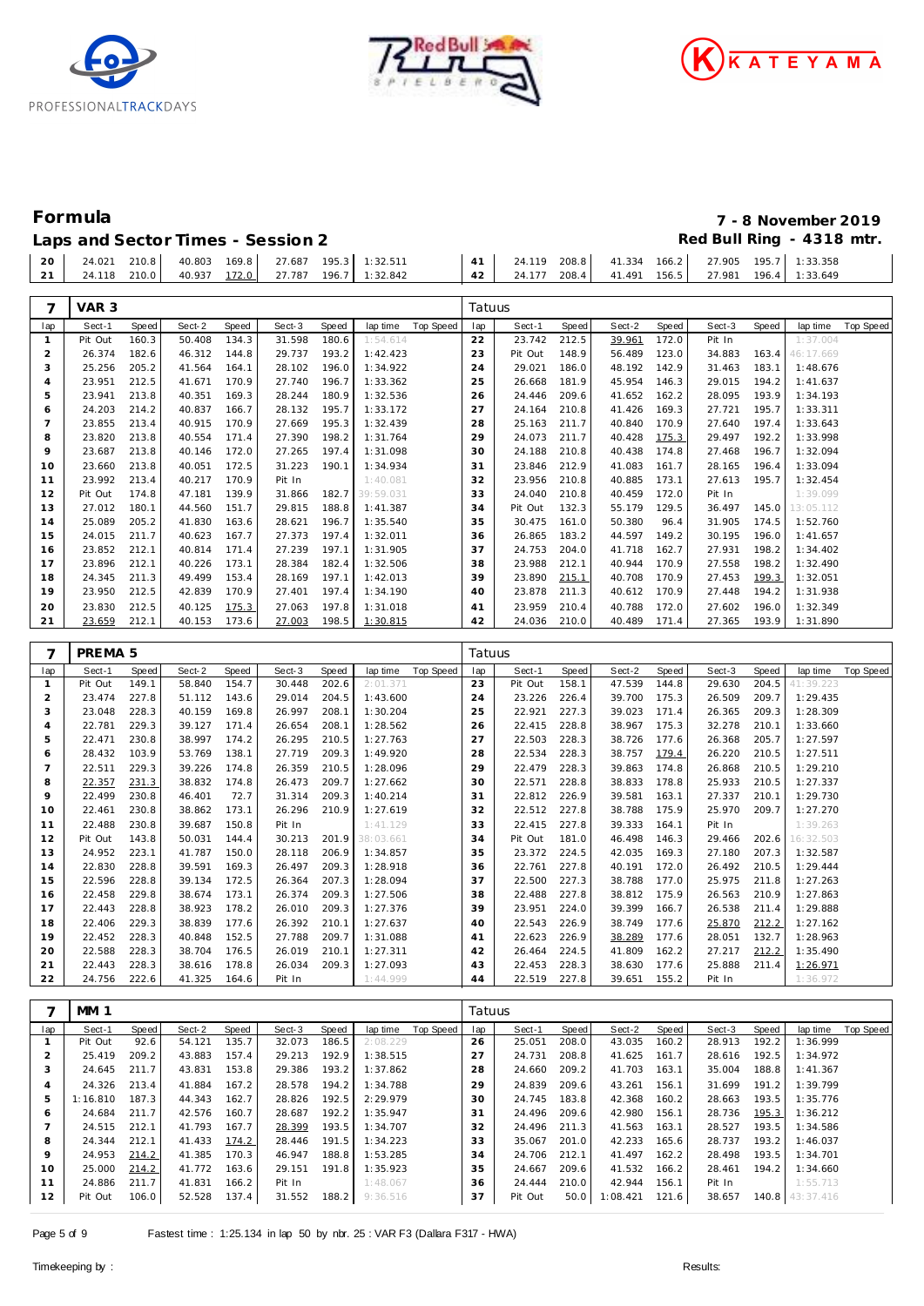





| Speed<br>lap time<br><b>Top Speed</b><br>1:37.004<br>163.4<br>46:17.669<br>183.1<br>1:48.676<br>194.2<br>1:41.637<br>193.9<br>1:34.193<br>195.7<br>1:33.311<br>197.4<br>1:33.643<br>192.2<br>1:33.998<br>196.7<br>1:32.094<br>1:33.094<br>196.4<br>195.7<br>1:32.454<br>1:39.099<br>13:05.112<br>145.0<br>174.5<br>1:52.760 | Sect-3<br>Pit In<br>34.883<br>31.463<br>29.015<br>28.095<br>27.721<br>27.640<br>29.497<br>27.468<br>28.165<br>27.613<br>Pit In | Speed<br>172.0<br>123.0<br>142.9<br>146.3<br>162.2<br>169.3<br>170.9<br>175.3<br>174.8<br>161.7          | Sect-2<br>39.961<br>56.489<br>48.192<br>45.954<br>41.652<br>41.426<br>40.840<br>40.428<br>40.438                     | Speed<br>212.5<br>148.9<br>186.0<br>181.9<br>209.6<br>210.8<br>211.7<br>211.7<br>210.8                          | Sect-1<br>23.742<br>Pit Out<br>29.021<br>26.668<br>24.446<br>24.164<br>25.163<br>24.073                                         | <b>Top Speed</b><br>lap<br>22<br>23<br>24<br>25<br>26<br>27<br>28                  | lap time<br>1:54.614<br>1:42.423<br>1:34.922<br>1:33.362<br>1:32.536<br>1:33.172                                                             | Speed<br>180.6<br>193.2<br>196.0<br>196.7<br>180.9                                                       | Sect-3<br>31.598<br>29.737<br>28.102<br>27.740                                                                       | Speed<br>134.3                                                                                                 | Sect-2                                                                                                               |                                                                                                                 |                                                                                                                                             | 7                                                                                                            |
|-----------------------------------------------------------------------------------------------------------------------------------------------------------------------------------------------------------------------------------------------------------------------------------------------------------------------------|--------------------------------------------------------------------------------------------------------------------------------|----------------------------------------------------------------------------------------------------------|----------------------------------------------------------------------------------------------------------------------|-----------------------------------------------------------------------------------------------------------------|---------------------------------------------------------------------------------------------------------------------------------|------------------------------------------------------------------------------------|----------------------------------------------------------------------------------------------------------------------------------------------|----------------------------------------------------------------------------------------------------------|----------------------------------------------------------------------------------------------------------------------|----------------------------------------------------------------------------------------------------------------|----------------------------------------------------------------------------------------------------------------------|-----------------------------------------------------------------------------------------------------------------|---------------------------------------------------------------------------------------------------------------------------------------------|--------------------------------------------------------------------------------------------------------------|
|                                                                                                                                                                                                                                                                                                                             |                                                                                                                                |                                                                                                          |                                                                                                                      |                                                                                                                 |                                                                                                                                 |                                                                                    |                                                                                                                                              |                                                                                                          |                                                                                                                      |                                                                                                                |                                                                                                                      | Speed                                                                                                           | Sect-1                                                                                                                                      | lap                                                                                                          |
|                                                                                                                                                                                                                                                                                                                             |                                                                                                                                |                                                                                                          |                                                                                                                      |                                                                                                                 |                                                                                                                                 |                                                                                    |                                                                                                                                              |                                                                                                          |                                                                                                                      |                                                                                                                | 50.408                                                                                                               | 160.3                                                                                                           | Pit Out                                                                                                                                     | $\mathbf{1}$                                                                                                 |
|                                                                                                                                                                                                                                                                                                                             |                                                                                                                                |                                                                                                          |                                                                                                                      |                                                                                                                 |                                                                                                                                 |                                                                                    |                                                                                                                                              |                                                                                                          |                                                                                                                      | 144.8                                                                                                          | 46.312                                                                                                               | 182.6                                                                                                           | 26.374                                                                                                                                      | $\overline{2}$                                                                                               |
|                                                                                                                                                                                                                                                                                                                             |                                                                                                                                |                                                                                                          |                                                                                                                      |                                                                                                                 |                                                                                                                                 |                                                                                    |                                                                                                                                              |                                                                                                          |                                                                                                                      | 164.1                                                                                                          | 41.564                                                                                                               | 205.2                                                                                                           | 25.256                                                                                                                                      | 3                                                                                                            |
|                                                                                                                                                                                                                                                                                                                             |                                                                                                                                |                                                                                                          |                                                                                                                      |                                                                                                                 |                                                                                                                                 |                                                                                    |                                                                                                                                              |                                                                                                          |                                                                                                                      | 170.9                                                                                                          | 41.671                                                                                                               | 212.5                                                                                                           | 23.951                                                                                                                                      | 4                                                                                                            |
|                                                                                                                                                                                                                                                                                                                             |                                                                                                                                |                                                                                                          |                                                                                                                      |                                                                                                                 |                                                                                                                                 |                                                                                    |                                                                                                                                              |                                                                                                          | 28.244                                                                                                               | 169.3                                                                                                          | 40.351                                                                                                               | 213.8                                                                                                           | 23.941                                                                                                                                      | 5                                                                                                            |
|                                                                                                                                                                                                                                                                                                                             |                                                                                                                                |                                                                                                          |                                                                                                                      |                                                                                                                 |                                                                                                                                 |                                                                                    |                                                                                                                                              | 195.7                                                                                                    | 28.132                                                                                                               | 166.7                                                                                                          | 40.837                                                                                                               | 214.2                                                                                                           | 24.203                                                                                                                                      | 6                                                                                                            |
|                                                                                                                                                                                                                                                                                                                             |                                                                                                                                |                                                                                                          |                                                                                                                      |                                                                                                                 |                                                                                                                                 |                                                                                    | 1:32.439                                                                                                                                     | 195.3                                                                                                    | 27.669                                                                                                               | 170.9                                                                                                          | 40.915                                                                                                               | 213.4                                                                                                           | 23.855                                                                                                                                      | $\overline{7}$                                                                                               |
|                                                                                                                                                                                                                                                                                                                             |                                                                                                                                |                                                                                                          |                                                                                                                      |                                                                                                                 |                                                                                                                                 | 29                                                                                 | 1:31.764                                                                                                                                     | 198.2                                                                                                    | 27.390                                                                                                               | 171.4                                                                                                          | 40.554                                                                                                               | 213.8                                                                                                           | 23.820                                                                                                                                      | 8                                                                                                            |
|                                                                                                                                                                                                                                                                                                                             |                                                                                                                                |                                                                                                          |                                                                                                                      |                                                                                                                 | 24.188                                                                                                                          | 30                                                                                 | 1:31.098                                                                                                                                     | 197.4                                                                                                    | 27.265                                                                                                               | 172.0                                                                                                          | 40.146                                                                                                               | 213.8                                                                                                           | 23.687                                                                                                                                      | $\circ$                                                                                                      |
|                                                                                                                                                                                                                                                                                                                             |                                                                                                                                |                                                                                                          | 41.083                                                                                                               | 212.9                                                                                                           | 23.846                                                                                                                          | 31                                                                                 | 1:34.934                                                                                                                                     | 190.1                                                                                                    | 31.223                                                                                                               | 172.5                                                                                                          | 40.051                                                                                                               | 213.8                                                                                                           | 23.660                                                                                                                                      | 10                                                                                                           |
|                                                                                                                                                                                                                                                                                                                             |                                                                                                                                | 173.1                                                                                                    | 40.885                                                                                                               | 210.8                                                                                                           | 23.956                                                                                                                          | 32                                                                                 | 1:40.081                                                                                                                                     |                                                                                                          | Pit In                                                                                                               | 170.9                                                                                                          | 40.217                                                                                                               | 213.4                                                                                                           | 23.992                                                                                                                                      | 11                                                                                                           |
|                                                                                                                                                                                                                                                                                                                             |                                                                                                                                | 172.0                                                                                                    | 40.459                                                                                                               | 210.8                                                                                                           | 24.040                                                                                                                          | 33                                                                                 | 39:59.031                                                                                                                                    | 182.7                                                                                                    | 31.866                                                                                                               | 139.9                                                                                                          | 47.181                                                                                                               | 174.8                                                                                                           | Pit Out                                                                                                                                     | 12                                                                                                           |
|                                                                                                                                                                                                                                                                                                                             | 36.497                                                                                                                         | 129.5                                                                                                    | 55.179                                                                                                               | 132.3                                                                                                           | Pit Out                                                                                                                         | 34                                                                                 | 1:41.387                                                                                                                                     | 188.8                                                                                                    | 29.815                                                                                                               | 151.7                                                                                                          | 44.560                                                                                                               | 180.1                                                                                                           | 27.012                                                                                                                                      | 13                                                                                                           |
|                                                                                                                                                                                                                                                                                                                             | 31.905                                                                                                                         | 96.4                                                                                                     | 50.380                                                                                                               | 161.0                                                                                                           | 30.475                                                                                                                          | 35                                                                                 | 1:35.540                                                                                                                                     | 196.7                                                                                                    | 28.621                                                                                                               | 163.6                                                                                                          | 41.830                                                                                                               | 205.2                                                                                                           | 25.089                                                                                                                                      | 14                                                                                                           |
| 196.0<br>1:41.657                                                                                                                                                                                                                                                                                                           | 30.195                                                                                                                         | 149.2                                                                                                    | 44.597                                                                                                               | 183.2                                                                                                           | 26.865                                                                                                                          | 36                                                                                 | 1:32.011                                                                                                                                     | 197.4                                                                                                    | 27.373                                                                                                               | 167.7                                                                                                          | 40.623                                                                                                               | 211.7                                                                                                           | 24.015                                                                                                                                      | 15                                                                                                           |
| 198.2<br>1:34.402                                                                                                                                                                                                                                                                                                           | 27.931                                                                                                                         | 162.7                                                                                                    | 41.718                                                                                                               | 204.0                                                                                                           | 24.753                                                                                                                          | 37                                                                                 | 1:31.905                                                                                                                                     | 197.1                                                                                                    | 27.239                                                                                                               | 171.4                                                                                                          | 40.814                                                                                                               | 212.1                                                                                                           | 23.852                                                                                                                                      | 16                                                                                                           |
| 1:32.490<br>198.2                                                                                                                                                                                                                                                                                                           | 27.558                                                                                                                         | 170.9                                                                                                    | 40.944                                                                                                               | 212.1                                                                                                           | 23.988                                                                                                                          | 38                                                                                 | 1:32.506                                                                                                                                     | 182.4                                                                                                    | 28.384                                                                                                               | 173.1                                                                                                          | 40.226                                                                                                               | 212.1                                                                                                           | 23.896                                                                                                                                      | 17                                                                                                           |
| 199.3<br>1:32.051                                                                                                                                                                                                                                                                                                           | 27.453                                                                                                                         | 170.9                                                                                                    | 40.708                                                                                                               | 215.1                                                                                                           | 23.890                                                                                                                          | 39                                                                                 | 1:42.013                                                                                                                                     | 197.1                                                                                                    | 28.169                                                                                                               | 153.4                                                                                                          | 49.499                                                                                                               | 211.3                                                                                                           | 24.345                                                                                                                                      | 18                                                                                                           |
| 194.2<br>1:31.938                                                                                                                                                                                                                                                                                                           | 27.448                                                                                                                         | 170.9                                                                                                    | 40.612                                                                                                               | 211.3                                                                                                           | 23.878                                                                                                                          | 40                                                                                 | 1:34.190                                                                                                                                     | 197.4                                                                                                    | 27.401                                                                                                               | 170.9                                                                                                          | 42.839                                                                                                               | 212.5                                                                                                           | 23.950                                                                                                                                      | 19                                                                                                           |
| 196.0<br>1:32.349                                                                                                                                                                                                                                                                                                           |                                                                                                                                |                                                                                                          |                                                                                                                      |                                                                                                                 |                                                                                                                                 |                                                                                    |                                                                                                                                              |                                                                                                          |                                                                                                                      |                                                                                                                |                                                                                                                      |                                                                                                                 |                                                                                                                                             |                                                                                                              |
| 193.9<br>1:31.890                                                                                                                                                                                                                                                                                                           |                                                                                                                                |                                                                                                          |                                                                                                                      |                                                                                                                 |                                                                                                                                 |                                                                                    |                                                                                                                                              |                                                                                                          |                                                                                                                      |                                                                                                                |                                                                                                                      |                                                                                                                 |                                                                                                                                             |                                                                                                              |
|                                                                                                                                                                                                                                                                                                                             |                                                                                                                                |                                                                                                          |                                                                                                                      |                                                                                                                 |                                                                                                                                 |                                                                                    |                                                                                                                                              |                                                                                                          |                                                                                                                      |                                                                                                                |                                                                                                                      |                                                                                                                 |                                                                                                                                             |                                                                                                              |
|                                                                                                                                                                                                                                                                                                                             |                                                                                                                                |                                                                                                          |                                                                                                                      |                                                                                                                 |                                                                                                                                 |                                                                                    |                                                                                                                                              |                                                                                                          |                                                                                                                      |                                                                                                                |                                                                                                                      |                                                                                                                 |                                                                                                                                             |                                                                                                              |
| Speed<br>Top Speed<br>lap time<br>204.5                                                                                                                                                                                                                                                                                     |                                                                                                                                |                                                                                                          |                                                                                                                      |                                                                                                                 |                                                                                                                                 |                                                                                    |                                                                                                                                              |                                                                                                          |                                                                                                                      |                                                                                                                |                                                                                                                      |                                                                                                                 |                                                                                                                                             |                                                                                                              |
| 41:39.223<br>209.7<br>1:29.435                                                                                                                                                                                                                                                                                              |                                                                                                                                |                                                                                                          |                                                                                                                      |                                                                                                                 |                                                                                                                                 |                                                                                    |                                                                                                                                              |                                                                                                          |                                                                                                                      |                                                                                                                |                                                                                                                      |                                                                                                                 |                                                                                                                                             |                                                                                                              |
| 209.3<br>1:28.309                                                                                                                                                                                                                                                                                                           |                                                                                                                                |                                                                                                          |                                                                                                                      |                                                                                                                 |                                                                                                                                 |                                                                                    |                                                                                                                                              |                                                                                                          |                                                                                                                      |                                                                                                                |                                                                                                                      |                                                                                                                 |                                                                                                                                             |                                                                                                              |
| 210.1<br>1:33.660                                                                                                                                                                                                                                                                                                           |                                                                                                                                |                                                                                                          |                                                                                                                      |                                                                                                                 |                                                                                                                                 |                                                                                    |                                                                                                                                              |                                                                                                          |                                                                                                                      |                                                                                                                |                                                                                                                      |                                                                                                                 |                                                                                                                                             |                                                                                                              |
| 205.7<br>1:27.597                                                                                                                                                                                                                                                                                                           |                                                                                                                                |                                                                                                          |                                                                                                                      |                                                                                                                 |                                                                                                                                 |                                                                                    |                                                                                                                                              |                                                                                                          |                                                                                                                      |                                                                                                                |                                                                                                                      |                                                                                                                 |                                                                                                                                             |                                                                                                              |
| 210.5<br>1:27.511                                                                                                                                                                                                                                                                                                           |                                                                                                                                |                                                                                                          |                                                                                                                      |                                                                                                                 |                                                                                                                                 |                                                                                    |                                                                                                                                              |                                                                                                          |                                                                                                                      |                                                                                                                |                                                                                                                      |                                                                                                                 |                                                                                                                                             |                                                                                                              |
| 210.5<br>1:29.210                                                                                                                                                                                                                                                                                                           |                                                                                                                                |                                                                                                          |                                                                                                                      |                                                                                                                 |                                                                                                                                 |                                                                                    |                                                                                                                                              |                                                                                                          |                                                                                                                      |                                                                                                                |                                                                                                                      |                                                                                                                 |                                                                                                                                             |                                                                                                              |
| 210.5<br>1:27.337                                                                                                                                                                                                                                                                                                           |                                                                                                                                |                                                                                                          |                                                                                                                      |                                                                                                                 |                                                                                                                                 |                                                                                    |                                                                                                                                              |                                                                                                          |                                                                                                                      |                                                                                                                |                                                                                                                      |                                                                                                                 |                                                                                                                                             |                                                                                                              |
| 210.1<br>1:29.730                                                                                                                                                                                                                                                                                                           |                                                                                                                                |                                                                                                          |                                                                                                                      |                                                                                                                 |                                                                                                                                 |                                                                                    |                                                                                                                                              |                                                                                                          |                                                                                                                      |                                                                                                                |                                                                                                                      |                                                                                                                 |                                                                                                                                             |                                                                                                              |
| 209.7<br>1:27.270                                                                                                                                                                                                                                                                                                           | 25.970                                                                                                                         | 175.9                                                                                                    | 38.788                                                                                                               | 227.8                                                                                                           | 22.512                                                                                                                          | 32                                                                                 | 1:27.619                                                                                                                                     | 210.9                                                                                                    | 26.296                                                                                                               | 173.1                                                                                                          | 38.862                                                                                                               | 230.8                                                                                                           | 22.461                                                                                                                                      | 10                                                                                                           |
|                                                                                                                                                                                                                                                                                                                             |                                                                                                                                |                                                                                                          |                                                                                                                      |                                                                                                                 | 22.415                                                                                                                          | 33                                                                                 | 1:41.129                                                                                                                                     |                                                                                                          | Pit In                                                                                                               | 150.8                                                                                                          | 39.687                                                                                                               | 230.8                                                                                                           | 22.488                                                                                                                                      | 11                                                                                                           |
|                                                                                                                                                                                                                                                                                                                             |                                                                                                                                |                                                                                                          |                                                                                                                      |                                                                                                                 |                                                                                                                                 |                                                                                    |                                                                                                                                              |                                                                                                          |                                                                                                                      | 144.4                                                                                                          | 50.031                                                                                                               | 143.8                                                                                                           | Pit Out                                                                                                                                     | 12                                                                                                           |
| 1:39.263                                                                                                                                                                                                                                                                                                                    | Pit In                                                                                                                         | 164.1                                                                                                    | 39.333                                                                                                               | 227.8                                                                                                           |                                                                                                                                 |                                                                                    |                                                                                                                                              |                                                                                                          |                                                                                                                      |                                                                                                                |                                                                                                                      | 223.1                                                                                                           |                                                                                                                                             | 13                                                                                                           |
| 202.6<br>16:32.503                                                                                                                                                                                                                                                                                                          | 29.466                                                                                                                         | 146.3                                                                                                    | 46.498                                                                                                               | 181.0                                                                                                           | Pit Out                                                                                                                         | 34                                                                                 | 38:03.661                                                                                                                                    | 201.9                                                                                                    | 30.213                                                                                                               |                                                                                                                |                                                                                                                      |                                                                                                                 |                                                                                                                                             |                                                                                                              |
| 207.3<br>1:32.587                                                                                                                                                                                                                                                                                                           | 27.180                                                                                                                         | 169.3                                                                                                    | 42.035                                                                                                               | 224.5                                                                                                           | 23.372                                                                                                                          | 35                                                                                 | 1:34.857                                                                                                                                     | 206.9                                                                                                    | 28.118                                                                                                               | 150.0                                                                                                          | 41.787                                                                                                               |                                                                                                                 | 24.952                                                                                                                                      |                                                                                                              |
| 210.5<br>1:29.444                                                                                                                                                                                                                                                                                                           | 26.492                                                                                                                         | 172.0                                                                                                    | 40.191                                                                                                               | 227.8                                                                                                           | 22.761                                                                                                                          | 36                                                                                 | 1:28.918                                                                                                                                     | 209.3                                                                                                    | 26.497                                                                                                               | 169.3                                                                                                          | 39.591                                                                                                               | 228.8                                                                                                           | 22.830                                                                                                                                      | 14                                                                                                           |
| 211.8<br>1:27.263                                                                                                                                                                                                                                                                                                           | 25.975                                                                                                                         | 177.0                                                                                                    | 38.788                                                                                                               | 227.3                                                                                                           | 22.500                                                                                                                          | 37                                                                                 | 1:28.094                                                                                                                                     | 207.3                                                                                                    | 26.364                                                                                                               | 172.5                                                                                                          | 39.134                                                                                                               | 228.8                                                                                                           | 22.596                                                                                                                                      | 15                                                                                                           |
| 210.9<br>1:27.863                                                                                                                                                                                                                                                                                                           | 26.563                                                                                                                         | 175.9                                                                                                    | 38.812                                                                                                               | 227.8                                                                                                           | 22.488                                                                                                                          | 38                                                                                 | 1:27.506                                                                                                                                     | 209.3                                                                                                    | 26.374                                                                                                               | 173.1                                                                                                          | 38.674                                                                                                               | 229.8                                                                                                           | 22.458                                                                                                                                      | 16                                                                                                           |
| 211.4<br>1:29.888                                                                                                                                                                                                                                                                                                           | 26.538                                                                                                                         | 166.7                                                                                                    | 39.399                                                                                                               | 224.0                                                                                                           | 23.951                                                                                                                          | 39                                                                                 | 1:27.376                                                                                                                                     | 209.3                                                                                                    | 26.010                                                                                                               | 178.2                                                                                                          | 38.923                                                                                                               | 228.8                                                                                                           | 22.443                                                                                                                                      | 17                                                                                                           |
| 212.2<br>1:27.162                                                                                                                                                                                                                                                                                                           | 25.870                                                                                                                         | 177.6                                                                                                    | 38.749                                                                                                               | 226.9                                                                                                           | 22.543                                                                                                                          | 40<br>41                                                                           | 1:27.637                                                                                                                                     | 210.1<br>209.7                                                                                           | 26.392                                                                                                               | 177.6                                                                                                          | 38.839                                                                                                               | 229.3                                                                                                           | 22.406                                                                                                                                      | 18<br>19                                                                                                     |
| 132.7<br>1:28.963                                                                                                                                                                                                                                                                                                           | 28.051                                                                                                                         | 177.6                                                                                                    | 38.289                                                                                                               | 226.9                                                                                                           | 22.623                                                                                                                          | 42                                                                                 | 1:31.088                                                                                                                                     |                                                                                                          | 27.788                                                                                                               | 152.5                                                                                                          | 40.848                                                                                                               | 228.3                                                                                                           | 22.452                                                                                                                                      | 20                                                                                                           |
| 212.2<br>1:35.490<br>211.4<br>1:26.971                                                                                                                                                                                                                                                                                      | 27.217<br>25.888                                                                                                               | 162.2<br>177.6                                                                                           | 41.809<br>38.630                                                                                                     | 224.5<br>228.3                                                                                                  | 26.464<br>22.453                                                                                                                | 43                                                                                 | 1:27.311<br>1:27.093                                                                                                                         | 210.1<br>209.3                                                                                           | 26.019<br>26.034                                                                                                     | 176.5<br>178.8                                                                                                 | 38.704<br>38.616                                                                                                     | 228.3<br>228.3                                                                                                  | 22.588<br>22.443                                                                                                                            | 21                                                                                                           |
|                                                                                                                                                                                                                                                                                                                             | 27.602<br>27.365<br>Sect-3<br>29.630<br>26.509<br>26.365<br>32.278<br>26.368<br>26.220<br>26.868<br>25.933<br>27.337           | 172.0<br>171.4<br>Speed<br>144.8<br>175.3<br>171.4<br>175.3<br>177.6<br>179.4<br>174.8<br>178.8<br>163.1 | 40.788<br>40.489<br>Sect-2<br>47.539<br>39.700<br>39.023<br>38.967<br>38.726<br>38.757<br>39.863<br>38.833<br>39.581 | 210.4<br>210.0<br><b>Speed</b><br>158.1<br>226.4<br>227.3<br>228.8<br>228.3<br>228.3<br>228.3<br>228.8<br>226.9 | 23.959<br>24.036<br>Tatuus<br>Sect-1<br>Pit Out<br>23.226<br>22.921<br>22.415<br>22.503<br>22.534<br>22.479<br>22.571<br>22.812 | 41<br>42<br>Top Speed<br>lap<br>23<br>24<br>25<br>26<br>27<br>28<br>29<br>30<br>31 | 1:31.018<br>1:30.815<br>lap time<br>2:01.371<br>1:43.600<br>1:30.204<br>1:28.562<br>1:27.763<br>1:49.920<br>1:28.096<br>1:27.662<br>1:40.214 | 197.8<br>198.5<br>Speed<br>202.6<br>204.5<br>208.1<br>208.1<br>210.5<br>209.3<br>210.5<br>209.7<br>209.3 | 27.063<br>27.003<br>Sect-3<br>30.448<br>29.014<br>26.997<br>26.654<br>26.295<br>27.719<br>26.359<br>26.473<br>31.314 | 175.3<br>173.6<br><b>Speed</b><br>154.7<br>143.6<br>169.8<br>171.4<br>174.2<br>138.1<br>174.8<br>174.8<br>72.7 | 40.125<br>40.153<br>Sect-2<br>58.840<br>51.112<br>40.159<br>39.127<br>38.997<br>53.769<br>39.226<br>38.832<br>46.401 | 212.5<br>212.1<br><b>Speed</b><br>149.1<br>227.8<br>228.3<br>229.3<br>230.8<br>103.9<br>229.3<br>231.3<br>230.8 | 23.830<br>23.659<br>PREMA <sub>5</sub><br>Sect-1<br>Pit Out<br>23.474<br>23.048<br>22.781<br>22.471<br>28.432<br>22.511<br>22.357<br>22.499 | 20<br>21<br>7<br>lap<br>$\mathbf{1}$<br>$\overline{2}$<br>3<br>4<br>5<br>6<br>$\overline{7}$<br>8<br>$\circ$ |

|     | MM <sub>1</sub> |       |        |       |        |       |          |           | Tatuus |         |       |          |       |        |       |                 |           |
|-----|-----------------|-------|--------|-------|--------|-------|----------|-----------|--------|---------|-------|----------|-------|--------|-------|-----------------|-----------|
| lap | Sect-1          | Speed | Sect-2 | Speed | Sect-3 | Speed | lap time | Top Speed | lap    | Sect-1  | Speed | Sect-2   | Speed | Sect-3 | Speed | lap time        | Top Speed |
|     | Pit Out         | 92.6  | 54.121 | 135.7 | 32.073 | 186.5 | 2:08.229 |           | 26     | 25.051  | 208.0 | 43.035   | 160.2 | 28.913 | 192.2 | 1:36.999        |           |
|     | 25.419          | 209.2 | 43.883 | 157.4 | 29.213 | 192.9 | 1:38.515 |           | 27     | 24.731  | 208.8 | 41.625   | 161.7 | 28.616 | 192.5 | 1:34.972        |           |
| 3   | 24.645          | 211.7 | 43.831 | 153.8 | 29.386 | 193.2 | 1:37.862 |           | 28     | 24.660  | 209.2 | 41.703   | 163.1 | 35.004 | 188.8 | 1:41.367        |           |
| 4   | 24.326          | 213.4 | 41.884 | 167.2 | 28.578 | 194.2 | 1:34.788 |           | 29     | 24.839  | 209.6 | 43.261   | 156.1 | 31.699 | 191.2 | 1:39.799        |           |
| 5   | 1:16.810        | 187.3 | 44.343 | 162.7 | 28.826 | 192.5 | 2:29.979 |           | 30     | 24.745  | 183.8 | 42.368   | 160.2 | 28.663 | 193.5 | 1:35.776        |           |
| 6   | 24.684          | 211.7 | 42.576 | 160.7 | 28.687 | 192.2 | 1:35.947 |           | 31     | 24.496  | 209.6 | 42.980   | 156.1 | 28.736 | 195.3 | 1:36.212        |           |
|     | 24.515          | 212.1 | 41.793 | 167.7 | 28.399 | 193.5 | 1:34.707 |           | 32     | 24.496  | 211.3 | 41.563   | 163.1 | 28.527 | 193.5 | 1:34.586        |           |
| 8   | 24.344          | 212.1 | 41.433 | 174.2 | 28.446 | 191.5 | 1:34.223 |           | 33     | 35.067  | 201.0 | 42.233   | 165.6 | 28.737 | 193.2 | 1:46.037        |           |
| 9   | 24.953          | 214.2 | 41.385 | 170.3 | 46.947 | 188.8 | 1:53.285 |           | 34     | 24.706  | 212.1 | 41.497   | 162.2 | 28.498 | 193.5 | 1:34.701        |           |
| 10  | 25,000          | 214.2 | 41.772 | 163.6 | 29.151 | 191.8 | 1:35.923 |           | 35     | 24.667  | 209.6 | 41.532   | 166.2 | 28.461 | 194.2 | 1:34.660        |           |
| 11  | 24.886          | 211.7 | 41.831 | 166.2 | Pit In |       | 1:48.067 |           | 36     | 24.444  | 210.0 | 42.944   | 156.1 | Pit In |       | 1:55.713        |           |
| 12  | Pit Out         | 106.0 | 52.528 | 137.4 | 31.552 | 188.2 | 9:36.516 |           | 37     | Pit Out | 50.0  | 1:08.421 | 121.6 | 38.657 |       | 140.8 43:37.416 |           |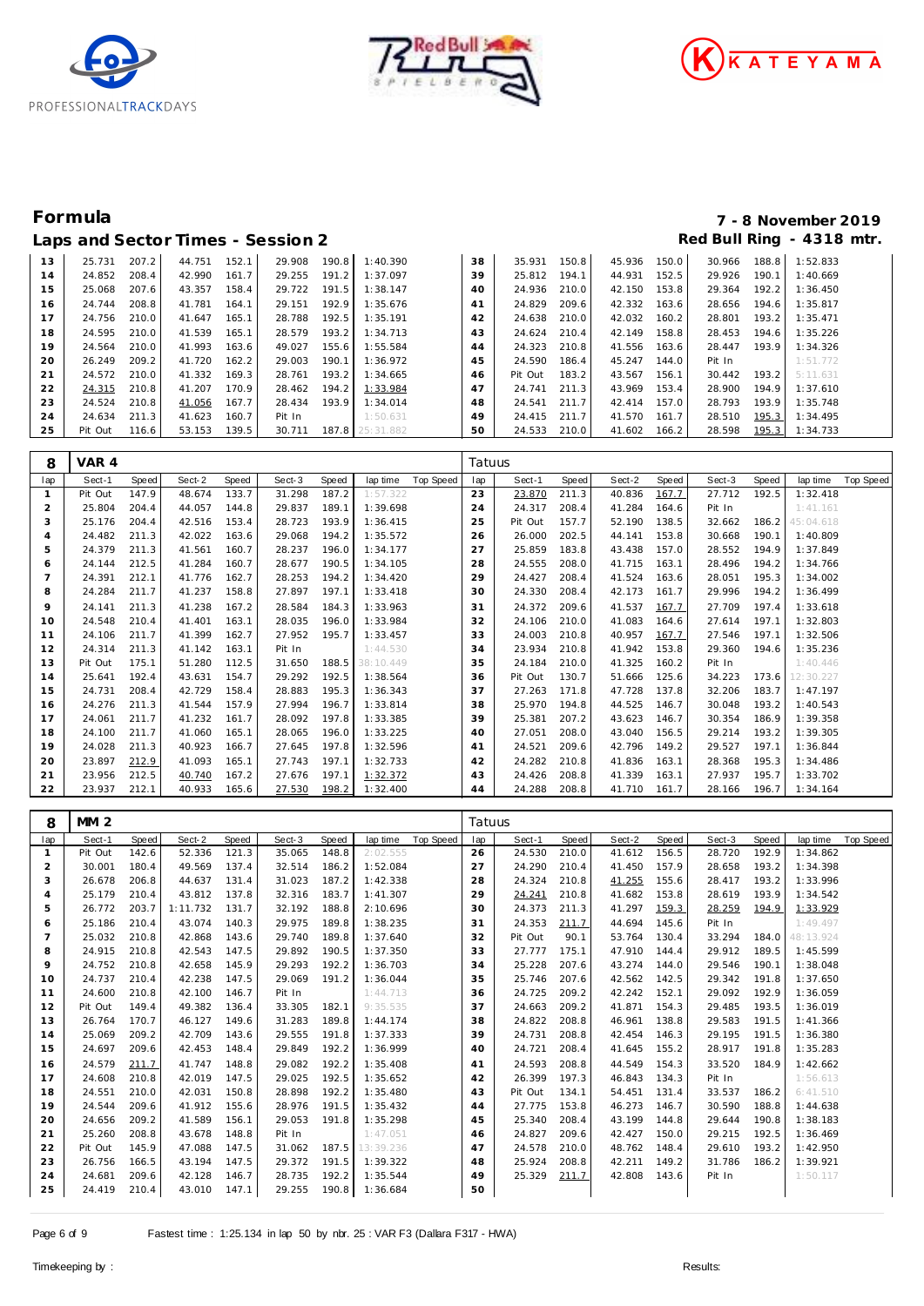





# **Formula 7 - 8 November 2019**

|    |         |       |        |       | Laps and Sector Times - Session 2 |       |                 |    |         |       |        |       |        |       | Red Bull Ring - 4318 mtr. |
|----|---------|-------|--------|-------|-----------------------------------|-------|-----------------|----|---------|-------|--------|-------|--------|-------|---------------------------|
| 13 | 25.731  | 207.2 | 44.751 | 152.1 | 29.908                            | 190.8 | 1:40.390        | 38 | 35.931  | 150.8 | 45.936 | 150.0 | 30.966 | 188.8 | 1:52.833                  |
| 14 | 24.852  | 208.4 | 42.990 | 161.7 | 29.255                            | 191.2 | 1:37.097        | 39 | 25.812  | 194.1 | 44.931 | 152.5 | 29.926 | 190.1 | 1:40.669                  |
| 15 | 25.068  | 207.6 | 43.357 | 158.4 | 29.722                            | 191.5 | 1:38.147        | 40 | 24.936  | 210.0 | 42.150 | 153.8 | 29.364 | 192.2 | 1:36.450                  |
| 16 | 24.744  | 208.8 | 41.781 | 164.1 | 29.151                            | 192.9 | 1:35.676        | 41 | 24.829  | 209.6 | 42.332 | 163.6 | 28.656 | 194.6 | 1:35.817                  |
| 17 | 24.756  | 210.0 | 41.647 | 165.1 | 28.788                            | 192.5 | 1:35.191        | 42 | 24.638  | 210.0 | 42.032 | 160.2 | 28.801 | 193.2 | 1:35.471                  |
| 18 | 24.595  | 210.0 | 41.539 | 165.1 | 28.579                            | 193.2 | 1:34.713        | 43 | 24.624  | 210.4 | 42.149 | 158.8 | 28.453 | 194.6 | 1:35.226                  |
| 19 | 24.564  | 210.0 | 41.993 | 163.6 | 49.027                            | 155.6 | 1:55.584        | 44 | 24.323  | 210.8 | 41.556 | 163.6 | 28.447 | 193.9 | 1:34.326                  |
| 20 | 26.249  | 209.2 | 41.720 | 162.2 | 29.003                            | 190.1 | 1:36.972        | 45 | 24.590  | 186.4 | 45.247 | 144.0 | Pit In |       | 1:51.772                  |
| 21 | 24.572  | 210.0 | 41.332 | 169.3 | 28.761                            | 193.2 | 1:34.665        | 46 | Pit Out | 183.2 | 43.567 | 156.1 | 30.442 | 193.2 | 5:11.631                  |
| 22 | 24.315  | 210.8 | 41.207 | 170.9 | 28.462                            | 194.2 | 1:33.984        | 47 | 24.741  | 211.3 | 43.969 | 153.4 | 28.900 | 194.9 | 1:37.610                  |
| 23 | 24.524  | 210.8 | 41.056 | 167.7 | 28.434                            | 193.9 | 1:34.014        | 48 | 24.541  | 211.7 | 42.414 | 157.0 | 28.793 | 193.9 | 1:35.748                  |
| 24 | 24.634  | 211.3 | 41.623 | 160.7 | Pit In                            |       | 1:50.631        | 49 | 24.415  | 211.7 | 41.570 | 161.7 | 28.510 | 195.3 | 1:34.495                  |
| 25 | Pit Out | 116.6 | 53.153 | 139.5 | 30.711                            |       | 187.8 25:31.882 | 50 | 24.533  | 210.0 | 41.602 | 166.2 | 28.598 | 195.3 | 1:34.733                  |

| 8              | VAR 4   |       |        |       |        |       |           |           | Tatuus |         |       |        |       |        |       |           |           |
|----------------|---------|-------|--------|-------|--------|-------|-----------|-----------|--------|---------|-------|--------|-------|--------|-------|-----------|-----------|
| lap            | Sect-1  | Speed | Sect-2 | Speed | Sect-3 | Speed | lap time  | Top Speed | lap    | Sect-1  | Speed | Sect-2 | Speed | Sect-3 | Speed | lap time  | Top Speed |
|                | Pit Out | 147.9 | 48.674 | 133.7 | 31.298 | 187.2 | 1:57.322  |           | 23     | 23.870  | 211.3 | 40.836 | 167.7 | 27.712 | 192.5 | 1:32.418  |           |
| $\overline{2}$ | 25.804  | 204.4 | 44.057 | 144.8 | 29.837 | 189.1 | 1:39.698  |           | 24     | 24.317  | 208.4 | 41.284 | 164.6 | Pit In |       | 1:41.161  |           |
| 3              | 25.176  | 204.4 | 42.516 | 153.4 | 28.723 | 193.9 | 1:36.415  |           | 25     | Pit Out | 157.7 | 52.190 | 138.5 | 32.662 | 186.2 | 45:04.618 |           |
| 4              | 24.482  | 211.3 | 42.022 | 163.6 | 29.068 | 194.2 | 1:35.572  |           | 26     | 26.000  | 202.5 | 44.141 | 153.8 | 30.668 | 190.1 | 1:40.809  |           |
| 5              | 24.379  | 211.3 | 41.561 | 160.7 | 28.237 | 196.0 | 1:34.177  |           | 27     | 25.859  | 183.8 | 43.438 | 157.0 | 28.552 | 194.9 | 1:37.849  |           |
| 6              | 24.144  | 212.5 | 41.284 | 160.7 | 28.677 | 190.5 | 1:34.105  |           | 28     | 24.555  | 208.0 | 41.715 | 163.1 | 28.496 | 194.2 | 1:34.766  |           |
|                | 24.391  | 212.1 | 41.776 | 162.7 | 28.253 | 194.2 | 1:34.420  |           | 29     | 24.427  | 208.4 | 41.524 | 163.6 | 28.051 | 195.3 | 1:34.002  |           |
| 8              | 24.284  | 211.7 | 41.237 | 158.8 | 27.897 | 197.1 | 1:33.418  |           | 30     | 24.330  | 208.4 | 42.173 | 161.7 | 29.996 | 194.2 | 1:36.499  |           |
| 9              | 24.141  | 211.3 | 41.238 | 167.2 | 28.584 | 184.3 | 1:33.963  |           | 31     | 24.372  | 209.6 | 41.537 | 167.7 | 27.709 | 197.4 | 1:33.618  |           |
| 10             | 24.548  | 210.4 | 41.401 | 163.1 | 28.035 | 196.0 | 1:33.984  |           | 32     | 24.106  | 210.0 | 41.083 | 164.6 | 27.614 | 197.1 | 1:32.803  |           |
| 11             | 24.106  | 211.7 | 41.399 | 162.7 | 27.952 | 195.7 | 1:33.457  |           | 33     | 24.003  | 210.8 | 40.957 | 167.7 | 27.546 | 197.1 | 1:32.506  |           |
| 12             | 24.314  | 211.3 | 41.142 | 163.1 | Pit In |       | 1:44.530  |           | 34     | 23.934  | 210.8 | 41.942 | 153.8 | 29.360 | 194.6 | 1:35.236  |           |
| 13             | Pit Out | 175.1 | 51.280 | 112.5 | 31.650 | 188.5 | 38:10.449 |           | 35     | 24.184  | 210.0 | 41.325 | 160.2 | Pit In |       | 1:40.446  |           |
| 14             | 25.641  | 192.4 | 43.631 | 154.7 | 29.292 | 192.5 | 1:38.564  |           | 36     | Pit Out | 130.7 | 51.666 | 125.6 | 34.223 | 173.6 | 12:30.227 |           |
| 15             | 24.731  | 208.4 | 42.729 | 158.4 | 28.883 | 195.3 | 1:36.343  |           | 37     | 27.263  | 171.8 | 47.728 | 137.8 | 32.206 | 183.7 | 1:47.197  |           |
| 16             | 24.276  | 211.3 | 41.544 | 157.9 | 27.994 | 196.7 | 1:33.814  |           | 38     | 25.970  | 194.8 | 44.525 | 146.7 | 30.048 | 193.2 | 1:40.543  |           |
| 17             | 24.061  | 211.7 | 41.232 | 161.7 | 28.092 | 197.8 | 1:33.385  |           | 39     | 25.381  | 207.2 | 43.623 | 146.7 | 30.354 | 186.9 | 1:39.358  |           |
| 18             | 24.100  | 211.7 | 41.060 | 165.1 | 28.065 | 196.0 | 1:33.225  |           | 40     | 27.051  | 208.0 | 43.040 | 156.5 | 29.214 | 193.2 | 1:39.305  |           |
| 19             | 24.028  | 211.3 | 40.923 | 166.7 | 27.645 | 197.8 | 1:32.596  |           | 41     | 24.521  | 209.6 | 42.796 | 149.2 | 29.527 | 197.1 | 1:36.844  |           |
| 20             | 23.897  | 212.9 | 41.093 | 165.1 | 27.743 | 197.1 | 1:32.733  |           | 42     | 24.282  | 210.8 | 41.836 | 163.1 | 28.368 | 195.3 | 1:34.486  |           |
| 21             | 23.956  | 212.5 | 40.740 | 167.2 | 27.676 | 197.1 | 1:32.372  |           | 43     | 24.426  | 208.8 | 41.339 | 163.1 | 27.937 | 195.7 | 1:33.702  |           |
| 22             | 23.937  | 212.1 | 40.933 | 165.6 | 27.530 | 198.2 | 1:32.400  |           | 44     | 24.288  | 208.8 | 41.710 | 161.7 | 28.166 | 196.7 | 1:34.164  |           |

| 8       | MM <sub>2</sub> |       |          |       |        |       |           |           | Tatuus |         |       |        |       |        |       |           |                  |
|---------|-----------------|-------|----------|-------|--------|-------|-----------|-----------|--------|---------|-------|--------|-------|--------|-------|-----------|------------------|
| lap     | Sect-1          | Speed | Sect-2   | Speed | Sect-3 | Speed | lap time  | Top Speed | lap    | Sect-1  | Speed | Sect-2 | Speed | Sect-3 | Speed | lap time  | <b>Top Speed</b> |
|         | Pit Out         | 142.6 | 52.336   | 121.3 | 35.065 | 148.8 | 2:02.555  |           | 26     | 24.530  | 210.0 | 41.612 | 156.5 | 28.720 | 192.9 | 1:34.862  |                  |
| 2       | 30.001          | 180.4 | 49.569   | 137.4 | 32.514 | 186.2 | 1:52.084  |           | 27     | 24.290  | 210.4 | 41.450 | 157.9 | 28.658 | 193.2 | 1:34.398  |                  |
| 3       | 26.678          | 206.8 | 44.637   | 131.4 | 31.023 | 187.2 | 1:42.338  |           | 28     | 24.324  | 210.8 | 41.255 | 155.6 | 28.417 | 193.2 | 1:33.996  |                  |
| 4       | 25.179          | 210.4 | 43.812   | 137.8 | 32.316 | 183.7 | 1:41.307  |           | 29     | 24.241  | 210.8 | 41.682 | 153.8 | 28.619 | 193.9 | 1:34.542  |                  |
| 5       | 26.772          | 203.7 | 1:11.732 | 131.7 | 32.192 | 188.8 | 2:10.696  |           | 30     | 24.373  | 211.3 | 41.297 | 159.3 | 28.259 | 194.9 | 1:33.929  |                  |
| 6       | 25.186          | 210.4 | 43.074   | 140.3 | 29.975 | 189.8 | 1:38.235  |           | 31     | 24.353  | 211.7 | 44.694 | 145.6 | Pit In |       | 1:49.497  |                  |
| 7       | 25.032          | 210.8 | 42.868   | 143.6 | 29.740 | 189.8 | 1:37.640  |           | 32     | Pit Out | 90.1  | 53.764 | 130.4 | 33.294 | 184.0 | 48:13.924 |                  |
| 8       | 24.915          | 210.8 | 42.543   | 147.5 | 29.892 | 190.5 | 1:37.350  |           | 33     | 27.777  | 175.1 | 47.910 | 144.4 | 29.912 | 189.5 | 1:45.599  |                  |
| $\circ$ | 24.752          | 210.8 | 42.658   | 145.9 | 29.293 | 192.2 | 1:36.703  |           | 34     | 25.228  | 207.6 | 43.274 | 144.0 | 29.546 | 190.1 | 1:38.048  |                  |
| 10      | 24.737          | 210.4 | 42.238   | 147.5 | 29.069 | 191.2 | 1:36.044  |           | 35     | 25.746  | 207.6 | 42.562 | 142.5 | 29.342 | 191.8 | 1:37.650  |                  |
| 11      | 24.600          | 210.8 | 42.100   | 146.7 | Pit In |       | 1:44.713  |           | 36     | 24.725  | 209.2 | 42.242 | 152.1 | 29.092 | 192.9 | 1:36.059  |                  |
| 12      | Pit Out         | 149.4 | 49.382   | 136.4 | 33.305 | 182.1 | 9:35.535  |           | 37     | 24.663  | 209.2 | 41.871 | 154.3 | 29.485 | 193.5 | 1:36.019  |                  |
| 13      | 26.764          | 170.7 | 46.127   | 149.6 | 31.283 | 189.8 | 1:44.174  |           | 38     | 24.822  | 208.8 | 46.961 | 138.8 | 29.583 | 191.5 | 1:41.366  |                  |
| 14      | 25.069          | 209.2 | 42.709   | 143.6 | 29.555 | 191.8 | 1:37.333  |           | 39     | 24.731  | 208.8 | 42.454 | 146.3 | 29.195 | 191.5 | 1:36.380  |                  |
| 15      | 24.697          | 209.6 | 42.453   | 148.4 | 29.849 | 192.2 | 1:36.999  |           | 40     | 24.721  | 208.4 | 41.645 | 155.2 | 28.917 | 191.8 | 1:35.283  |                  |
| 16      | 24.579          | 211.7 | 41.747   | 148.8 | 29.082 | 192.2 | 1:35.408  |           | 41     | 24.593  | 208.8 | 44.549 | 154.3 | 33.520 | 184.9 | 1:42.662  |                  |
| 17      | 24.608          | 210.8 | 42.019   | 147.5 | 29.025 | 192.5 | 1:35.652  |           | 42     | 26.399  | 197.3 | 46.843 | 134.3 | Pit In |       | 1:56.613  |                  |
| 18      | 24.551          | 210.0 | 42.031   | 150.8 | 28.898 | 192.2 | 1:35.480  |           | 43     | Pit Out | 134.1 | 54.451 | 131.4 | 33.537 | 186.2 | 6:41.510  |                  |
| 19      | 24.544          | 209.6 | 41.912   | 155.6 | 28.976 | 191.5 | 1:35.432  |           | 44     | 27.775  | 153.8 | 46.273 | 146.7 | 30.590 | 188.8 | 1:44.638  |                  |
| 20      | 24.656          | 209.2 | 41.589   | 156.1 | 29.053 | 191.8 | 1:35.298  |           | 45     | 25.340  | 208.4 | 43.199 | 144.8 | 29.644 | 190.8 | 1:38.183  |                  |
| 21      | 25.260          | 208.8 | 43.678   | 148.8 | Pit In |       | 1:47.051  |           | 46     | 24.827  | 209.6 | 42.427 | 150.0 | 29.215 | 192.5 | 1:36.469  |                  |
| 22      | Pit Out         | 145.9 | 47.088   | 147.5 | 31.062 | 187.5 | 13:39.236 |           | 47     | 24.578  | 210.0 | 48.762 | 148.4 | 29.610 | 193.2 | 1:42.950  |                  |
| 23      | 26.756          | 166.5 | 43.194   | 147.5 | 29.372 | 191.5 | 1:39.322  |           | 48     | 25.924  | 208.8 | 42.211 | 149.2 | 31.786 | 186.2 | 1:39.921  |                  |
| 24      | 24.681          | 209.6 | 42.128   | 146.7 | 28.735 | 192.2 | 1:35.544  |           | 49     | 25.329  | 211.7 | 42.808 | 143.6 | Pit In |       | 1:50.117  |                  |
| 25      | 24.419          | 210.4 | 43.010   | 147.1 | 29.255 | 190.8 | 1:36.684  |           | 50     |         |       |        |       |        |       |           |                  |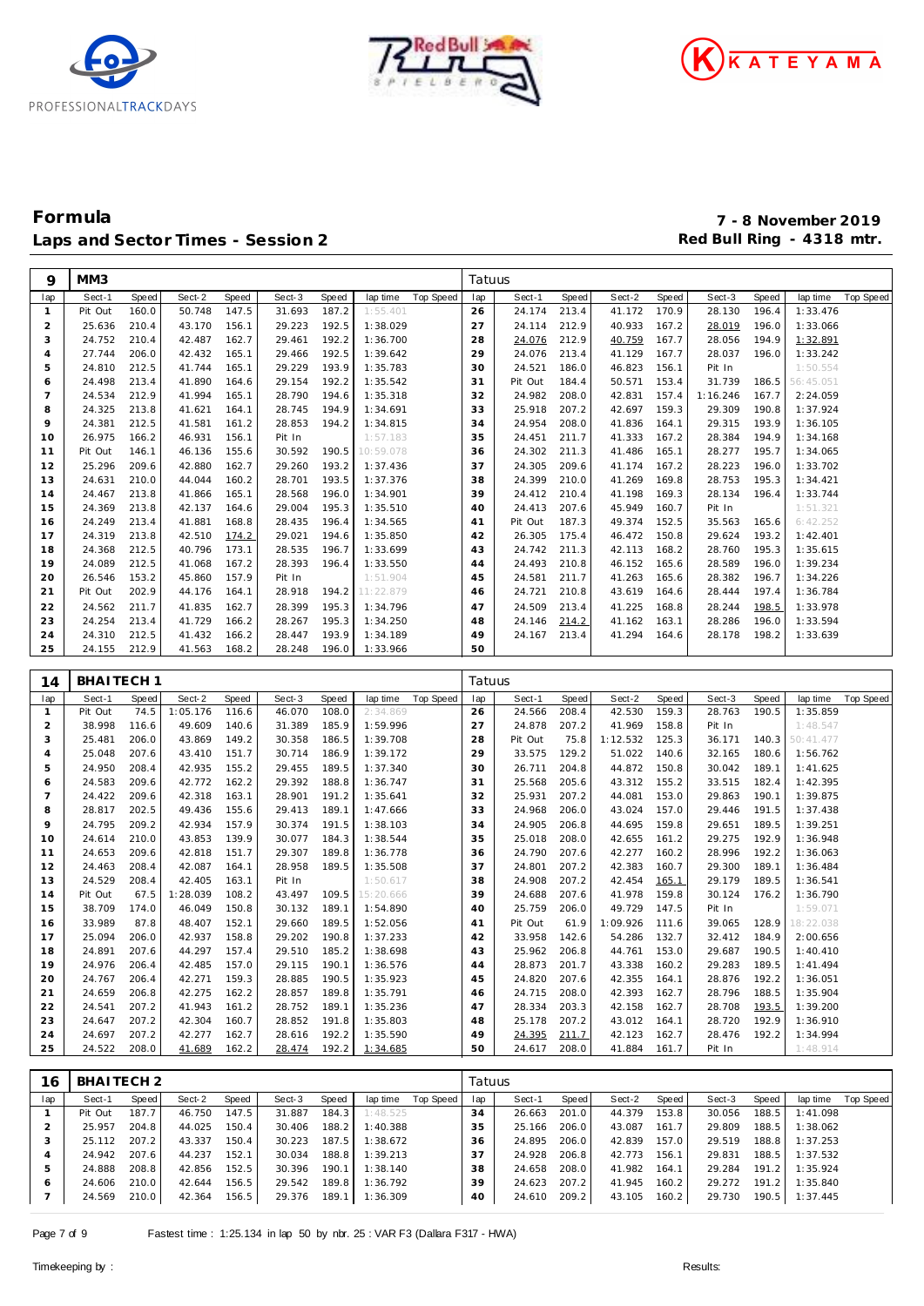





| 9              | MM3                   |       |          |       |              |       |           |           | Tatuus |              |       |              |       |          |       |           |                  |
|----------------|-----------------------|-------|----------|-------|--------------|-------|-----------|-----------|--------|--------------|-------|--------------|-------|----------|-------|-----------|------------------|
| lap            | Sect-1                | Speed | Sect-2   | Speed | Sect-3       | Speed | lap time  | Top Speed | lap    | Sect-1       | Speed | Sect-2       | Speed | Sect-3   | Speed | lap time  | <b>Top Speed</b> |
| $\mathbf{1}$   | Pit Out               | 160.0 | 50.748   | 147.5 | 31.693       | 187.2 | 1:55.401  |           | 26     | 24.174       | 213.4 | 41.172       | 170.9 | 28.130   | 196.4 | 1:33.476  |                  |
| $\overline{2}$ | 25.636                | 210.4 | 43.170   | 156.1 | 29.223       | 192.5 | 1:38.029  |           | 27     | 24.114       | 212.9 | 40.933       | 167.2 | 28.019   | 196.0 | 1:33.066  |                  |
| 3              | 24.752                | 210.4 | 42.487   | 162.7 | 29.461       | 192.2 | 1:36.700  |           | 28     | 24.076       | 212.9 | 40.759       | 167.7 | 28.056   | 194.9 | 1:32.891  |                  |
| $\overline{4}$ | 27.744                | 206.0 | 42.432   | 165.1 | 29.466       | 192.5 | 1:39.642  |           | 29     | 24.076       | 213.4 | 41.129       | 167.7 | 28.037   | 196.0 | 1:33.242  |                  |
| 5              | 24.810                | 212.5 | 41.744   | 165.1 | 29.229       | 193.9 | 1:35.783  |           | 30     | 24.521       | 186.0 | 46.823       | 156.1 | Pit In   |       | 1:50.554  |                  |
| 6              | 24.498                | 213.4 | 41.890   | 164.6 | 29.154       | 192.2 | 1:35.542  |           | 31     | Pit Out      | 184.4 | 50.571       | 153.4 | 31.739   | 186.5 | 56:45.051 |                  |
| $\overline{7}$ | 24.534                | 212.9 | 41.994   | 165.1 | 28.790       | 194.6 | 1:35.318  |           | 32     | 24.982       | 208.0 | 42.831       | 157.4 | 1:16.246 | 167.7 | 2:24.059  |                  |
| 8              | 24.325                | 213.8 | 41.621   | 164.1 | 28.745       | 194.9 | 1:34.691  |           | 33     | 25.918       | 207.2 | 42.697       | 159.3 | 29.309   | 190.8 | 1:37.924  |                  |
| 9              | 24.381                | 212.5 | 41.581   | 161.2 | 28.853       | 194.2 | 1:34.815  |           | 34     | 24.954       | 208.0 | 41.836       | 164.1 | 29.315   | 193.9 | 1:36.105  |                  |
| 10             | 26.975                | 166.2 | 46.931   | 156.1 | Pit In       |       | 1:57.183  |           | 35     | 24.451       | 211.7 | 41.333       | 167.2 | 28.384   | 194.9 | 1:34.168  |                  |
| 11             | Pit Out               | 146.1 | 46.136   | 155.6 | 30.592       | 190.5 | 10:59.078 |           | 36     | 24.302       | 211.3 | 41.486       | 165.1 | 28.277   | 195.7 | 1:34.065  |                  |
| 12             | 25.296                | 209.6 | 42.880   | 162.7 | 29.260       | 193.2 | 1:37.436  |           | 37     | 24.305       | 209.6 | 41.174       | 167.2 | 28.223   | 196.0 | 1:33.702  |                  |
| 13             | 24.631                | 210.0 | 44.044   | 160.2 | 28.701       | 193.5 | 1:37.376  |           | 38     | 24.399       | 210.0 | 41.269       | 169.8 | 28.753   | 195.3 | 1:34.421  |                  |
| 14             | 24.467                | 213.8 | 41.866   | 165.1 | 28.568       | 196.0 | 1:34.901  |           | 39     | 24.412       | 210.4 | 41.198       | 169.3 | 28.134   | 196.4 | 1:33.744  |                  |
| 15             | 24.369                | 213.8 | 42.137   | 164.6 | 29.004       | 195.3 | 1:35.510  |           | 40     | 24.413       | 207.6 | 45.949       | 160.7 | Pit In   |       | 1:51.321  |                  |
| 16             | 24.249                | 213.4 | 41.881   | 168.8 | 28.435       | 196.4 | 1:34.565  |           | 41     | Pit Out      | 187.3 | 49.374       | 152.5 | 35.563   | 165.6 | 6:42.252  |                  |
| 17             | 24.319                | 213.8 | 42.510   | 174.2 | 29.021       | 194.6 | 1:35.850  |           | 42     | 26.305       | 175.4 | 46.472       | 150.8 | 29.624   | 193.2 | 1:42.401  |                  |
| 18             | 24.368                | 212.5 | 40.796   | 173.1 | 28.535       | 196.7 | 1:33.699  |           | 43     | 24.742       | 211.3 | 42.113       | 168.2 | 28.760   | 195.3 | 1:35.615  |                  |
| 19             | 24.089                | 212.5 | 41.068   | 167.2 | 28.393       | 196.4 | 1:33.550  |           | 44     | 24.493       | 210.8 | 46.152       | 165.6 | 28.589   | 196.0 | 1:39.234  |                  |
| 20             | 26.546                | 153.2 | 45.860   | 157.9 | Pit In       |       | 1:51.904  |           | 45     | 24.581       | 211.7 | 41.263       | 165.6 | 28.382   | 196.7 | 1:34.226  |                  |
| 21             | Pit Out               | 202.9 | 44.176   | 164.1 | 28.918       | 194.2 | 11:22.879 |           | 46     | 24.721       | 210.8 | 43.619       | 164.6 | 28.444   | 197.4 | 1:36.784  |                  |
| 22             | 24.562                | 211.7 | 41.835   | 162.7 | 28.399       | 195.3 | 1:34.796  |           | 47     | 24.509       | 213.4 | 41.225       | 168.8 | 28.244   | 198.5 | 1:33.978  |                  |
| 23             | 24.254                | 213.4 | 41.729   | 166.2 | 28.267       | 195.3 | 1:34.250  |           | 48     | 24.146       | 214.2 | 41.162       | 163.1 | 28.286   | 196.0 | 1:33.594  |                  |
| 24             | 24.310                | 212.5 | 41.432   | 166.2 | 28.447       | 193.9 | 1:34.189  |           | 49     | 24.167       | 213.4 | 41.294       | 164.6 | 28.178   | 198.2 | 1:33.639  |                  |
| 25             | 24.155                | 212.9 | 41.563   | 168.2 | 28.248       | 196.0 | 1:33.966  |           | 50     |              |       |              |       |          |       |           |                  |
|                |                       |       |          |       |              |       |           |           |        |              |       |              |       |          |       |           |                  |
| 14             | BHAITECH <sub>1</sub> |       |          |       |              |       |           |           | Tatuus |              |       |              |       |          |       |           |                  |
|                |                       |       |          |       |              |       |           |           |        |              |       |              |       |          |       |           |                  |
| lap            | Sect-1                | Speed | Sect-2   | Speed | Sect-3       | Speed | lap time  | Top Speed | lap    | Sect-1       | Speed | Sect-2       | Speed | Sect-3   | Speed | lap time  | <b>Top Speed</b> |
| $\mathbf{1}$   | Pit Out               | 74.5  | 1:05.176 | 116.6 | 46.070       | 108.0 | 2:34.869  |           | 26     | 24.566       | 208.4 | 42.530       | 159.3 | 28.763   | 190.5 | 1:35.859  |                  |
| $\overline{2}$ | 38.998                | 116.6 | 49.609   | 140.6 | 31.389       | 185.9 | 1:59.996  |           | 27     | 24.878       | 207.2 | 41.969       | 158.8 | Pit In   |       | 1:48.547  |                  |
| 3              | 25.481                | 206.0 | 43.869   | 149.2 | 30.358       | 186.5 | 1:39.708  |           | 28     | Pit Out      | 75.8  | 1:12.532     | 125.3 | 36.171   | 140.3 | 50:41.477 |                  |
| 4              | 25.048                | 207.6 | 43.410   | 151.7 | 30.714       | 186.9 | 1:39.172  |           | 29     | 33.575       | 129.2 | 51.022       | 140.6 | 32.165   | 180.6 | 1:56.762  |                  |
| 5              | 24.950                | 208.4 | 42.935   | 155.2 | 29.455       | 189.5 | 1:37.340  |           | 30     | 26.711       | 204.8 | 44.872       | 150.8 | 30.042   | 189.1 | 1:41.625  |                  |
| 6              | 24.583                | 209.6 | 42.772   | 162.2 | 29.392       | 188.8 | 1:36.747  |           | 31     | 25.568       | 205.6 | 43.312       | 155.2 | 33.515   | 182.4 | 1:42.395  |                  |
| $\overline{7}$ | 24.422                | 209.6 | 42.318   | 163.1 | 28.901       | 191.2 | 1:35.641  |           | 32     | 25.931       | 207.2 | 44.081       | 153.0 | 29.863   | 190.1 | 1:39.875  |                  |
| 8              | 28.817                | 202.5 | 49.436   | 155.6 | 29.413       | 189.1 | 1:47.666  |           | 33     | 24.968       | 206.0 | 43.024       | 157.0 | 29.446   | 191.5 | 1:37.438  |                  |
| 9              | 24.795                | 209.2 | 42.934   | 157.9 | 30.374       | 191.5 | 1:38.103  |           | 34     | 24.905       | 206.8 | 44.695       | 159.8 | 29.651   | 189.5 | 1:39.251  |                  |
| 10             | 24.614                | 210.0 | 43.853   | 139.9 | 30.077       | 184.3 | 1:38.544  |           | 35     | 25.018       | 208.0 | 42.655       | 161.2 | 29.275   | 192.9 | 1:36.948  |                  |
| 11             | 24.653                | 209.6 | 42.818   | 151.7 | 29.307       | 189.8 | 1:36.778  |           | 36     | 24.790       | 207.6 | 42.277       | 160.2 | 28.996   | 192.2 | 1:36.063  |                  |
| 12             | 24.463                | 208.4 | 42.087   | 164.1 | 28.958       | 189.5 | 1:35.508  |           | 37     | 24.801       | 207.2 | 42.383       | 160.7 | 29.300   | 189.1 | 1:36.484  |                  |
| 13             | 24.529                | 208.4 | 42.405   | 163.1 | Pit In       |       | 1:50.617  |           | 38     | 24.908       | 207.2 | 42.454       | 165.1 | 29.179   | 189.5 | 1:36.541  |                  |
| 14             | Pit Out               | 67.5  | 1:28.039 | 108.2 | 43.497       | 109.5 | 15:20.666 |           | 39     | 24.688       | 207.6 | 41.978       | 159.8 | 30.124   | 176.2 | 1:36.790  |                  |
| 15             | 38.709                | 174.0 | 46.049   | 150.8 | 30.132       | 189.1 | 1:54.890  |           | 40     | 25.759       | 206.0 | 49.729       | 147.5 | Pit In   |       | 1:59.071  |                  |
| 16             | 33.989                | 87.8  | 48.407   | 152.1 | 29.660       | 189.5 | 1:52.056  |           | 41     | Pit Out      | 61.9  | 1:09.926     | 111.6 | 39.065   | 128.9 | 18:22.038 |                  |
| 17             | 25.094                | 206.0 | 42.937   | 158.8 | 29.202       | 190.8 | 1:37.233  |           | 42     | 33.958       | 142.6 | 54.286       | 132.7 | 32.412   | 184.9 | 2:00.656  |                  |
| 18             | 24.891                | 207.6 | 44.297   | 157.4 | 29.510       | 185.2 | 1:38.698  |           | 43     | 25.962       | 206.8 | 44.761       | 153.0 | 29.687   | 190.5 | 1:40.410  |                  |
| 19             | 24.976                | 206.4 | 42.485   | 157.0 | 29.115 190.1 |       | 1:36.576  |           | 44     | 28.873 201.7 |       | 43.338 160.2 |       | 29.283   | 189.5 | 1:41.494  |                  |
| 20             | 24.767                | 206.4 | 42.271   | 159.3 | 28.885       | 190.5 | 1:35.923  |           | 45     | 24.820       | 207.6 | 42.355       | 164.1 | 28.876   | 192.2 | 1:36.051  |                  |
| 21             | 24.659                | 206.8 | 42.275   | 162.2 | 28.857 189.8 |       | 1:35.791  |           | 46     | 24.715       | 208.0 | 42.393       | 162.7 | 28.796   | 188.5 | 1:35.904  |                  |
| 22             | 24.541                | 207.2 | 41.943   | 161.2 | 28.752 189.1 |       | 1:35.236  |           | 47     | 28.334       | 203.3 | 42.158 162.7 |       | 28.708   | 193.5 | 1:39.200  |                  |
| 23             | 24.647                | 207.2 | 42.304   | 160.7 | 28.852 191.8 |       | 1:35.803  |           | 48     | 25.178       | 207.2 | 43.012 164.1 |       | 28.720   | 192.9 | 1:36.910  |                  |
| 24             | 24.697                | 207.2 | 42.277   | 162.7 | 28.616 192.2 |       | 1:35.590  |           | 49     | 24.395       | 211.7 | 42.123       | 162.7 | 28.476   | 192.2 | 1:34.994  |                  |
| 25             | 24.522                | 208.0 | 41.689   | 162.2 | 28.474       | 192.2 | 1:34.685  |           | 50     | 24.617       | 208.0 | 41.884       | 161.7 | Pit In   |       | 1:48.914  |                  |
|                |                       |       |          |       |              |       |           |           |        |              |       |              |       |          |       |           |                  |
| 16             | BHAITECH <sub>2</sub> |       |          |       |              |       |           |           | Tatuus |              |       |              |       |          |       |           |                  |

| E CO | <u>DIAILUIL</u> |       |        |           |        |       |          |           | ratuus |              |       |              |         |        |       |          |                    |
|------|-----------------|-------|--------|-----------|--------|-------|----------|-----------|--------|--------------|-------|--------------|---------|--------|-------|----------|--------------------|
| lap  | Sect-1          | Speed | Sect-2 | Speed     | Sect-3 | Speed | lap time | Top Speed | lap    | Sect-1       | Speed | Sect-2       | Speed I | Sect-3 | Speed |          | lap time Top Speed |
|      | Pit Out         | 187.7 | 46.750 | 147.5     | 31.887 | 184.3 | 1:48.525 |           | 34     | 26.663       | 201.0 | 44.379       | 153.8   | 30.056 | 188.5 | 1:41.098 |                    |
|      | 25.957          | 204.8 | 44.025 | 150.4     | 30.406 | 188.2 | 1:40.388 |           | 35     | 25.166       | 206.0 | 43.087       | 161.7   | 29.809 | 188.5 | 1:38.062 |                    |
|      | 25.112          | 207.2 | 43.337 | 150.4     | 30.223 | 187.5 | 1:38.672 |           | 36     | 24.895       | 206.0 | 42.839       | 157.0   | 29.519 | 188.8 | 1:37.253 |                    |
|      | 24.942          | 207.6 | 44.237 | 152.1     | 30.034 | 188.8 | 1:39.213 |           | 37     | 24.928       | 206.8 | 42.773       | 156.1   | 29.831 | 188.5 | 1:37.532 |                    |
|      | 24.888          | 208.8 | 42.856 | 152.5     | 30.396 | 190.1 | 1:38.140 |           | 38     | 24.658       | 208.0 | 41.982       | 164.1   | 29.284 | 191.2 | 1:35.924 |                    |
| 6    | 24.606          | 210.0 | 42.644 | 156.5     | 29.542 | 189.8 | 1:36.792 |           | 39     | 24.623       | 207.2 | 41.945 160.2 |         | 29.272 | 191.2 | 1:35.840 |                    |
|      | 24.569 210.0    |       | 42.364 | $156.5$ I | 29.376 | 189.1 | 1:36.309 |           | 40     | 24.610 209.2 |       | 43.105       | 160.2   | 29.730 | 190.5 | 1:37.445 |                    |
|      |                 |       |        |           |        |       |          |           |        |              |       |              |         |        |       |          |                    |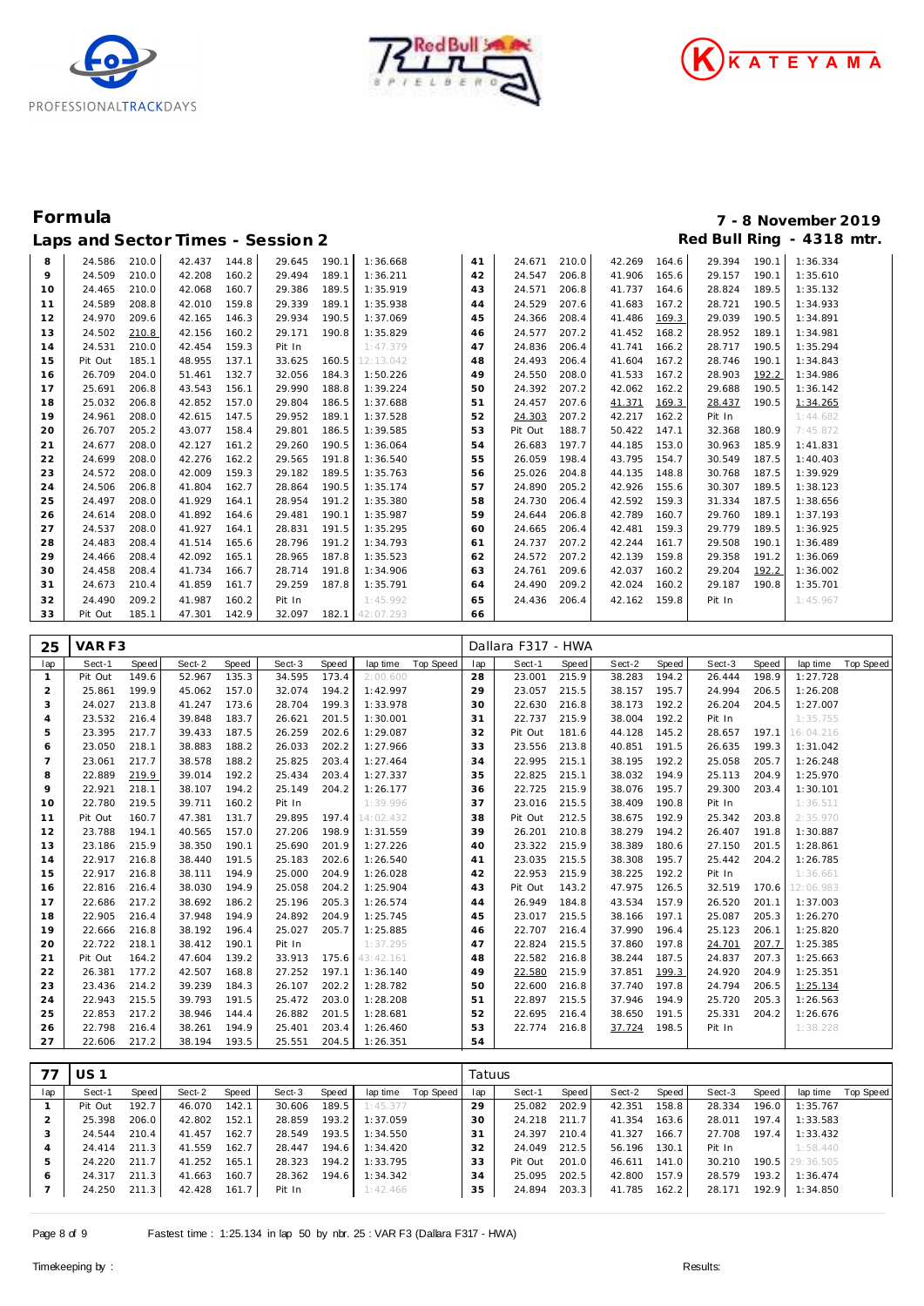





| 8<br>210.0<br>210.0<br>24.586<br>42.437<br>144.8<br>190.1<br>1:36.668<br>41<br>24.671<br>42.269<br>164.6<br>29.394<br>1:36.334<br>29.645<br>190.1<br>9<br>24.509<br>210.0<br>1:36.211<br>24.547<br>206.8<br>1:35.610<br>42.208<br>160.2<br>29.494<br>189.1<br>42<br>41.906<br>165.6<br>29.157<br>190.1<br>206.8<br>24.465<br>210.0<br>42.068<br>189.5<br>1:35.919<br>24.571<br>41.737<br>28.824<br>1:35.132<br>10<br>160.7<br>29.386<br>43<br>164.6<br>189.5<br>207.6<br>24.589<br>208.8<br>42.010<br>159.8<br>29.339<br>189.1<br>1:35.938<br>24.529<br>41.683<br>28.721<br>1:34.933<br>167.2<br>190.5<br>11<br>44<br>12<br>24.970<br>209.6<br>42.165<br>29.934<br>1:37.069<br>24.366<br>208.4<br>41.486<br>146.3<br>190.5<br>45<br>29.039<br>190.5<br>1:34.891<br>169.3<br>13<br>24.502<br>42.156<br>29.171<br>190.8<br>1:35.829<br>24.577<br>207.2<br>41.452<br>1:34.981<br>210.8<br>160.2<br>28.952<br>189.1<br>46<br>168.2<br>24.531<br>42.454<br>Pit In<br>1:47.379<br>24.836<br>206.4<br>1:35.294<br>210.0<br>159.3<br>47<br>41.741<br>166.2<br>28.717<br>14<br>190.5<br>24.493<br>206.4<br>15<br>Pit Out<br>185.1<br>48.955<br>137.1<br>33.625<br>160.5<br>12:13.042<br>41.604<br>28.746<br>1:34.843<br>48<br>167.2<br>190.1<br>26.709<br>184.3<br>1:50.226<br>24.550<br>208.0<br>204.0<br>51.461<br>132.7<br>32.056<br>49<br>41.533<br>167.2<br>28.903<br>192.2<br>1:34.986<br>16<br>206.8<br>43.543<br>24.392<br>207.2<br>17<br>25.691<br>156.1<br>29.990<br>188.8<br>1:39.224<br>42.062<br>162.2<br>29.688<br>190.5<br>1:36.142<br>50<br>42.852<br>1:37.688<br>24.457<br>207.6<br>18<br>25.032<br>206.8<br>157.0<br>29.804<br>186.5<br>41.371<br>28.437<br>1:34.265<br>51<br>169.3<br>190.5<br>24.303<br>207.2<br>19<br>24.961<br>208.0<br>42.615<br>147.5<br>29.952<br>189.1<br>1:37.528<br>52<br>42.217<br>162.2<br>Pit In<br>1:44.682<br>20<br>26.707<br>205.2<br>43.077<br>158.4<br>29.801<br>186.5<br>1:39.585<br>53<br>Pit Out<br>188.7<br>50.422<br>32.368<br>7:45.872<br>147.1<br>180.9<br>24.677<br>21<br>208.0<br>42.127<br>29.260<br>190.5<br>1:36.064<br>54<br>26.683<br>197.7<br>44.185<br>153.0<br>30.963<br>185.9<br>161.2<br>1:41.831<br>22<br>24.699<br>208.0<br>42.276<br>191.8<br>1:36.540<br>198.4<br>43.795<br>154.7<br>162.2<br>29.565<br>55<br>26.059<br>30.549<br>187.5<br>1:40.403<br>23<br>24.572<br>208.0<br>42.009<br>189.5<br>1:35.763<br>25.026<br>204.8<br>1:39.929<br>159.3<br>29.182<br>44.135<br>148.8<br>30.768<br>187.5<br>56<br>24.506<br>206.8<br>190.5<br>24.890<br>205.2<br>42.926<br>1:38.123<br>24<br>41.804<br>162.7<br>28.864<br>1:35.174<br>57<br>155.6<br>30.307<br>189.5<br>25<br>24.497<br>41.929<br>24.730<br>206.4<br>208.0<br>164.1<br>28.954<br>191.2<br>1:35.380<br>58<br>42.592<br>159.3<br>31.334<br>187.5<br>1:38.656<br>26<br>24.614<br>208.0<br>41.892<br>29.481<br>1:35.987<br>24.644<br>206.8<br>42.789<br>1:37.193<br>190.1<br>59<br>160.7<br>29.760<br>189.1<br>164.6<br>27<br>41.927<br>1:35.295<br>206.4<br>1:36.925<br>24.537<br>208.0<br>28.831<br>191.5<br>24.665<br>42.481<br>159.3<br>29.779<br>164.1<br>60<br>189.5<br>24.483<br>24.737<br>207.2<br>28<br>208.4<br>41.514<br>165.6<br>28.796<br>191.2<br>1:34.793<br>42.244<br>29.508<br>1:36.489<br>161.7<br>190.1<br>61<br>29<br>24.466<br>24.572<br>207.2<br>208.4<br>42.092<br>165.1<br>28.965<br>187.8<br>1:35.523<br>62<br>42.139<br>159.8<br>29.358<br>1:36.069<br>191.2<br>24.458<br>30<br>208.4<br>41.734<br>28.714<br>191.8<br>1:34.906<br>24.761<br>209.6<br>42.037<br>160.2<br>29.204<br>192.2<br>1:36.002<br>166.7<br>63<br>24.673<br>1:35.791<br>29.187<br>1:35.701<br>31<br>41.859<br>29.259<br>187.8<br>24.490<br>209.2<br>42.024<br>210.4<br>161.7<br>160.2<br>190.8<br>64<br>24.490<br>209.2<br>41.987<br>1:45.992<br>32<br>160.2<br>Pit In<br>65<br>24.436<br>206.4<br>42.162<br>159.8<br>Pit In<br>1:45.967<br>33<br>Pit Out<br>185.1<br>47.301<br>142.9<br>32.097<br>182.1 42:07.293<br>66 |  |  |  |  |  |  |  |  |
|-------------------------------------------------------------------------------------------------------------------------------------------------------------------------------------------------------------------------------------------------------------------------------------------------------------------------------------------------------------------------------------------------------------------------------------------------------------------------------------------------------------------------------------------------------------------------------------------------------------------------------------------------------------------------------------------------------------------------------------------------------------------------------------------------------------------------------------------------------------------------------------------------------------------------------------------------------------------------------------------------------------------------------------------------------------------------------------------------------------------------------------------------------------------------------------------------------------------------------------------------------------------------------------------------------------------------------------------------------------------------------------------------------------------------------------------------------------------------------------------------------------------------------------------------------------------------------------------------------------------------------------------------------------------------------------------------------------------------------------------------------------------------------------------------------------------------------------------------------------------------------------------------------------------------------------------------------------------------------------------------------------------------------------------------------------------------------------------------------------------------------------------------------------------------------------------------------------------------------------------------------------------------------------------------------------------------------------------------------------------------------------------------------------------------------------------------------------------------------------------------------------------------------------------------------------------------------------------------------------------------------------------------------------------------------------------------------------------------------------------------------------------------------------------------------------------------------------------------------------------------------------------------------------------------------------------------------------------------------------------------------------------------------------------------------------------------------------------------------------------------------------------------------------------------------------------------------------------------------------------------------------------------------------------------------------------------------------------------------------------------------------------------------------------------------------------------------------------------------------------------------------------------------------------------------------------------------------------------------------------------------------------------------------------------------------------------------------------------------------------------------------------------------------------------------------------------------------------------------------------------------------------------------------------------------------------------|--|--|--|--|--|--|--|--|
|                                                                                                                                                                                                                                                                                                                                                                                                                                                                                                                                                                                                                                                                                                                                                                                                                                                                                                                                                                                                                                                                                                                                                                                                                                                                                                                                                                                                                                                                                                                                                                                                                                                                                                                                                                                                                                                                                                                                                                                                                                                                                                                                                                                                                                                                                                                                                                                                                                                                                                                                                                                                                                                                                                                                                                                                                                                                                                                                                                                                                                                                                                                                                                                                                                                                                                                                                                                                                                                                                                                                                                                                                                                                                                                                                                                                                                                                                                                                                 |  |  |  |  |  |  |  |  |
|                                                                                                                                                                                                                                                                                                                                                                                                                                                                                                                                                                                                                                                                                                                                                                                                                                                                                                                                                                                                                                                                                                                                                                                                                                                                                                                                                                                                                                                                                                                                                                                                                                                                                                                                                                                                                                                                                                                                                                                                                                                                                                                                                                                                                                                                                                                                                                                                                                                                                                                                                                                                                                                                                                                                                                                                                                                                                                                                                                                                                                                                                                                                                                                                                                                                                                                                                                                                                                                                                                                                                                                                                                                                                                                                                                                                                                                                                                                                                 |  |  |  |  |  |  |  |  |
|                                                                                                                                                                                                                                                                                                                                                                                                                                                                                                                                                                                                                                                                                                                                                                                                                                                                                                                                                                                                                                                                                                                                                                                                                                                                                                                                                                                                                                                                                                                                                                                                                                                                                                                                                                                                                                                                                                                                                                                                                                                                                                                                                                                                                                                                                                                                                                                                                                                                                                                                                                                                                                                                                                                                                                                                                                                                                                                                                                                                                                                                                                                                                                                                                                                                                                                                                                                                                                                                                                                                                                                                                                                                                                                                                                                                                                                                                                                                                 |  |  |  |  |  |  |  |  |
|                                                                                                                                                                                                                                                                                                                                                                                                                                                                                                                                                                                                                                                                                                                                                                                                                                                                                                                                                                                                                                                                                                                                                                                                                                                                                                                                                                                                                                                                                                                                                                                                                                                                                                                                                                                                                                                                                                                                                                                                                                                                                                                                                                                                                                                                                                                                                                                                                                                                                                                                                                                                                                                                                                                                                                                                                                                                                                                                                                                                                                                                                                                                                                                                                                                                                                                                                                                                                                                                                                                                                                                                                                                                                                                                                                                                                                                                                                                                                 |  |  |  |  |  |  |  |  |
|                                                                                                                                                                                                                                                                                                                                                                                                                                                                                                                                                                                                                                                                                                                                                                                                                                                                                                                                                                                                                                                                                                                                                                                                                                                                                                                                                                                                                                                                                                                                                                                                                                                                                                                                                                                                                                                                                                                                                                                                                                                                                                                                                                                                                                                                                                                                                                                                                                                                                                                                                                                                                                                                                                                                                                                                                                                                                                                                                                                                                                                                                                                                                                                                                                                                                                                                                                                                                                                                                                                                                                                                                                                                                                                                                                                                                                                                                                                                                 |  |  |  |  |  |  |  |  |
|                                                                                                                                                                                                                                                                                                                                                                                                                                                                                                                                                                                                                                                                                                                                                                                                                                                                                                                                                                                                                                                                                                                                                                                                                                                                                                                                                                                                                                                                                                                                                                                                                                                                                                                                                                                                                                                                                                                                                                                                                                                                                                                                                                                                                                                                                                                                                                                                                                                                                                                                                                                                                                                                                                                                                                                                                                                                                                                                                                                                                                                                                                                                                                                                                                                                                                                                                                                                                                                                                                                                                                                                                                                                                                                                                                                                                                                                                                                                                 |  |  |  |  |  |  |  |  |
|                                                                                                                                                                                                                                                                                                                                                                                                                                                                                                                                                                                                                                                                                                                                                                                                                                                                                                                                                                                                                                                                                                                                                                                                                                                                                                                                                                                                                                                                                                                                                                                                                                                                                                                                                                                                                                                                                                                                                                                                                                                                                                                                                                                                                                                                                                                                                                                                                                                                                                                                                                                                                                                                                                                                                                                                                                                                                                                                                                                                                                                                                                                                                                                                                                                                                                                                                                                                                                                                                                                                                                                                                                                                                                                                                                                                                                                                                                                                                 |  |  |  |  |  |  |  |  |
|                                                                                                                                                                                                                                                                                                                                                                                                                                                                                                                                                                                                                                                                                                                                                                                                                                                                                                                                                                                                                                                                                                                                                                                                                                                                                                                                                                                                                                                                                                                                                                                                                                                                                                                                                                                                                                                                                                                                                                                                                                                                                                                                                                                                                                                                                                                                                                                                                                                                                                                                                                                                                                                                                                                                                                                                                                                                                                                                                                                                                                                                                                                                                                                                                                                                                                                                                                                                                                                                                                                                                                                                                                                                                                                                                                                                                                                                                                                                                 |  |  |  |  |  |  |  |  |
|                                                                                                                                                                                                                                                                                                                                                                                                                                                                                                                                                                                                                                                                                                                                                                                                                                                                                                                                                                                                                                                                                                                                                                                                                                                                                                                                                                                                                                                                                                                                                                                                                                                                                                                                                                                                                                                                                                                                                                                                                                                                                                                                                                                                                                                                                                                                                                                                                                                                                                                                                                                                                                                                                                                                                                                                                                                                                                                                                                                                                                                                                                                                                                                                                                                                                                                                                                                                                                                                                                                                                                                                                                                                                                                                                                                                                                                                                                                                                 |  |  |  |  |  |  |  |  |
|                                                                                                                                                                                                                                                                                                                                                                                                                                                                                                                                                                                                                                                                                                                                                                                                                                                                                                                                                                                                                                                                                                                                                                                                                                                                                                                                                                                                                                                                                                                                                                                                                                                                                                                                                                                                                                                                                                                                                                                                                                                                                                                                                                                                                                                                                                                                                                                                                                                                                                                                                                                                                                                                                                                                                                                                                                                                                                                                                                                                                                                                                                                                                                                                                                                                                                                                                                                                                                                                                                                                                                                                                                                                                                                                                                                                                                                                                                                                                 |  |  |  |  |  |  |  |  |
|                                                                                                                                                                                                                                                                                                                                                                                                                                                                                                                                                                                                                                                                                                                                                                                                                                                                                                                                                                                                                                                                                                                                                                                                                                                                                                                                                                                                                                                                                                                                                                                                                                                                                                                                                                                                                                                                                                                                                                                                                                                                                                                                                                                                                                                                                                                                                                                                                                                                                                                                                                                                                                                                                                                                                                                                                                                                                                                                                                                                                                                                                                                                                                                                                                                                                                                                                                                                                                                                                                                                                                                                                                                                                                                                                                                                                                                                                                                                                 |  |  |  |  |  |  |  |  |
|                                                                                                                                                                                                                                                                                                                                                                                                                                                                                                                                                                                                                                                                                                                                                                                                                                                                                                                                                                                                                                                                                                                                                                                                                                                                                                                                                                                                                                                                                                                                                                                                                                                                                                                                                                                                                                                                                                                                                                                                                                                                                                                                                                                                                                                                                                                                                                                                                                                                                                                                                                                                                                                                                                                                                                                                                                                                                                                                                                                                                                                                                                                                                                                                                                                                                                                                                                                                                                                                                                                                                                                                                                                                                                                                                                                                                                                                                                                                                 |  |  |  |  |  |  |  |  |
|                                                                                                                                                                                                                                                                                                                                                                                                                                                                                                                                                                                                                                                                                                                                                                                                                                                                                                                                                                                                                                                                                                                                                                                                                                                                                                                                                                                                                                                                                                                                                                                                                                                                                                                                                                                                                                                                                                                                                                                                                                                                                                                                                                                                                                                                                                                                                                                                                                                                                                                                                                                                                                                                                                                                                                                                                                                                                                                                                                                                                                                                                                                                                                                                                                                                                                                                                                                                                                                                                                                                                                                                                                                                                                                                                                                                                                                                                                                                                 |  |  |  |  |  |  |  |  |
|                                                                                                                                                                                                                                                                                                                                                                                                                                                                                                                                                                                                                                                                                                                                                                                                                                                                                                                                                                                                                                                                                                                                                                                                                                                                                                                                                                                                                                                                                                                                                                                                                                                                                                                                                                                                                                                                                                                                                                                                                                                                                                                                                                                                                                                                                                                                                                                                                                                                                                                                                                                                                                                                                                                                                                                                                                                                                                                                                                                                                                                                                                                                                                                                                                                                                                                                                                                                                                                                                                                                                                                                                                                                                                                                                                                                                                                                                                                                                 |  |  |  |  |  |  |  |  |
|                                                                                                                                                                                                                                                                                                                                                                                                                                                                                                                                                                                                                                                                                                                                                                                                                                                                                                                                                                                                                                                                                                                                                                                                                                                                                                                                                                                                                                                                                                                                                                                                                                                                                                                                                                                                                                                                                                                                                                                                                                                                                                                                                                                                                                                                                                                                                                                                                                                                                                                                                                                                                                                                                                                                                                                                                                                                                                                                                                                                                                                                                                                                                                                                                                                                                                                                                                                                                                                                                                                                                                                                                                                                                                                                                                                                                                                                                                                                                 |  |  |  |  |  |  |  |  |
|                                                                                                                                                                                                                                                                                                                                                                                                                                                                                                                                                                                                                                                                                                                                                                                                                                                                                                                                                                                                                                                                                                                                                                                                                                                                                                                                                                                                                                                                                                                                                                                                                                                                                                                                                                                                                                                                                                                                                                                                                                                                                                                                                                                                                                                                                                                                                                                                                                                                                                                                                                                                                                                                                                                                                                                                                                                                                                                                                                                                                                                                                                                                                                                                                                                                                                                                                                                                                                                                                                                                                                                                                                                                                                                                                                                                                                                                                                                                                 |  |  |  |  |  |  |  |  |
|                                                                                                                                                                                                                                                                                                                                                                                                                                                                                                                                                                                                                                                                                                                                                                                                                                                                                                                                                                                                                                                                                                                                                                                                                                                                                                                                                                                                                                                                                                                                                                                                                                                                                                                                                                                                                                                                                                                                                                                                                                                                                                                                                                                                                                                                                                                                                                                                                                                                                                                                                                                                                                                                                                                                                                                                                                                                                                                                                                                                                                                                                                                                                                                                                                                                                                                                                                                                                                                                                                                                                                                                                                                                                                                                                                                                                                                                                                                                                 |  |  |  |  |  |  |  |  |
|                                                                                                                                                                                                                                                                                                                                                                                                                                                                                                                                                                                                                                                                                                                                                                                                                                                                                                                                                                                                                                                                                                                                                                                                                                                                                                                                                                                                                                                                                                                                                                                                                                                                                                                                                                                                                                                                                                                                                                                                                                                                                                                                                                                                                                                                                                                                                                                                                                                                                                                                                                                                                                                                                                                                                                                                                                                                                                                                                                                                                                                                                                                                                                                                                                                                                                                                                                                                                                                                                                                                                                                                                                                                                                                                                                                                                                                                                                                                                 |  |  |  |  |  |  |  |  |
|                                                                                                                                                                                                                                                                                                                                                                                                                                                                                                                                                                                                                                                                                                                                                                                                                                                                                                                                                                                                                                                                                                                                                                                                                                                                                                                                                                                                                                                                                                                                                                                                                                                                                                                                                                                                                                                                                                                                                                                                                                                                                                                                                                                                                                                                                                                                                                                                                                                                                                                                                                                                                                                                                                                                                                                                                                                                                                                                                                                                                                                                                                                                                                                                                                                                                                                                                                                                                                                                                                                                                                                                                                                                                                                                                                                                                                                                                                                                                 |  |  |  |  |  |  |  |  |
|                                                                                                                                                                                                                                                                                                                                                                                                                                                                                                                                                                                                                                                                                                                                                                                                                                                                                                                                                                                                                                                                                                                                                                                                                                                                                                                                                                                                                                                                                                                                                                                                                                                                                                                                                                                                                                                                                                                                                                                                                                                                                                                                                                                                                                                                                                                                                                                                                                                                                                                                                                                                                                                                                                                                                                                                                                                                                                                                                                                                                                                                                                                                                                                                                                                                                                                                                                                                                                                                                                                                                                                                                                                                                                                                                                                                                                                                                                                                                 |  |  |  |  |  |  |  |  |
|                                                                                                                                                                                                                                                                                                                                                                                                                                                                                                                                                                                                                                                                                                                                                                                                                                                                                                                                                                                                                                                                                                                                                                                                                                                                                                                                                                                                                                                                                                                                                                                                                                                                                                                                                                                                                                                                                                                                                                                                                                                                                                                                                                                                                                                                                                                                                                                                                                                                                                                                                                                                                                                                                                                                                                                                                                                                                                                                                                                                                                                                                                                                                                                                                                                                                                                                                                                                                                                                                                                                                                                                                                                                                                                                                                                                                                                                                                                                                 |  |  |  |  |  |  |  |  |
|                                                                                                                                                                                                                                                                                                                                                                                                                                                                                                                                                                                                                                                                                                                                                                                                                                                                                                                                                                                                                                                                                                                                                                                                                                                                                                                                                                                                                                                                                                                                                                                                                                                                                                                                                                                                                                                                                                                                                                                                                                                                                                                                                                                                                                                                                                                                                                                                                                                                                                                                                                                                                                                                                                                                                                                                                                                                                                                                                                                                                                                                                                                                                                                                                                                                                                                                                                                                                                                                                                                                                                                                                                                                                                                                                                                                                                                                                                                                                 |  |  |  |  |  |  |  |  |
|                                                                                                                                                                                                                                                                                                                                                                                                                                                                                                                                                                                                                                                                                                                                                                                                                                                                                                                                                                                                                                                                                                                                                                                                                                                                                                                                                                                                                                                                                                                                                                                                                                                                                                                                                                                                                                                                                                                                                                                                                                                                                                                                                                                                                                                                                                                                                                                                                                                                                                                                                                                                                                                                                                                                                                                                                                                                                                                                                                                                                                                                                                                                                                                                                                                                                                                                                                                                                                                                                                                                                                                                                                                                                                                                                                                                                                                                                                                                                 |  |  |  |  |  |  |  |  |
|                                                                                                                                                                                                                                                                                                                                                                                                                                                                                                                                                                                                                                                                                                                                                                                                                                                                                                                                                                                                                                                                                                                                                                                                                                                                                                                                                                                                                                                                                                                                                                                                                                                                                                                                                                                                                                                                                                                                                                                                                                                                                                                                                                                                                                                                                                                                                                                                                                                                                                                                                                                                                                                                                                                                                                                                                                                                                                                                                                                                                                                                                                                                                                                                                                                                                                                                                                                                                                                                                                                                                                                                                                                                                                                                                                                                                                                                                                                                                 |  |  |  |  |  |  |  |  |
|                                                                                                                                                                                                                                                                                                                                                                                                                                                                                                                                                                                                                                                                                                                                                                                                                                                                                                                                                                                                                                                                                                                                                                                                                                                                                                                                                                                                                                                                                                                                                                                                                                                                                                                                                                                                                                                                                                                                                                                                                                                                                                                                                                                                                                                                                                                                                                                                                                                                                                                                                                                                                                                                                                                                                                                                                                                                                                                                                                                                                                                                                                                                                                                                                                                                                                                                                                                                                                                                                                                                                                                                                                                                                                                                                                                                                                                                                                                                                 |  |  |  |  |  |  |  |  |
|                                                                                                                                                                                                                                                                                                                                                                                                                                                                                                                                                                                                                                                                                                                                                                                                                                                                                                                                                                                                                                                                                                                                                                                                                                                                                                                                                                                                                                                                                                                                                                                                                                                                                                                                                                                                                                                                                                                                                                                                                                                                                                                                                                                                                                                                                                                                                                                                                                                                                                                                                                                                                                                                                                                                                                                                                                                                                                                                                                                                                                                                                                                                                                                                                                                                                                                                                                                                                                                                                                                                                                                                                                                                                                                                                                                                                                                                                                                                                 |  |  |  |  |  |  |  |  |

| 25             | VARF3   |       |        |       |        |       |           |                  |     | Dallara F317 - HWA |       |        |       |        |       |           |           |
|----------------|---------|-------|--------|-------|--------|-------|-----------|------------------|-----|--------------------|-------|--------|-------|--------|-------|-----------|-----------|
| lap            | Sect-1  | Speed | Sect-2 | Speed | Sect-3 | Speed | lap time  | <b>Top Speed</b> | lap | Sect-1             | Speed | Sect-2 | Speed | Sect-3 | Speed | lap time  | Top Speed |
| -1             | Pit Out | 149.6 | 52.967 | 135.3 | 34.595 | 173.4 | 2:00.600  |                  | 28  | 23.001             | 215.9 | 38.283 | 194.2 | 26.444 | 198.9 | 1:27.728  |           |
| 2              | 25.861  | 199.9 | 45.062 | 157.0 | 32.074 | 194.2 | 1:42.997  |                  | 29  | 23.057             | 215.5 | 38.157 | 195.7 | 24.994 | 206.5 | 1:26.208  |           |
| 3              | 24.027  | 213.8 | 41.247 | 173.6 | 28.704 | 199.3 | 1:33.978  |                  | 30  | 22.630             | 216.8 | 38.173 | 192.2 | 26.204 | 204.5 | 1:27.007  |           |
| 4              | 23.532  | 216.4 | 39.848 | 183.7 | 26.621 | 201.5 | 1:30.001  |                  | 31  | 22.737             | 215.9 | 38.004 | 192.2 | Pit In |       | 1:35.755  |           |
| 5              | 23.395  | 217.7 | 39.433 | 187.5 | 26.259 | 202.6 | 1:29.087  |                  | 32  | Pit Out            | 181.6 | 44.128 | 145.2 | 28.657 | 197.1 | 16:04.216 |           |
| 6              | 23.050  | 218.1 | 38.883 | 188.2 | 26.033 | 202.2 | 1:27.966  |                  | 33  | 23.556             | 213.8 | 40.851 | 191.5 | 26.635 | 199.3 | 1:31.042  |           |
| $\overline{7}$ | 23.061  | 217.7 | 38.578 | 188.2 | 25.825 | 203.4 | 1:27.464  |                  | 34  | 22.995             | 215.1 | 38.195 | 192.2 | 25.058 | 205.7 | 1:26.248  |           |
| 8              | 22.889  | 219.9 | 39.014 | 192.2 | 25.434 | 203.4 | 1:27.337  |                  | 35  | 22.825             | 215.1 | 38.032 | 194.9 | 25.113 | 204.9 | 1:25.970  |           |
| 9              | 22.921  | 218.1 | 38.107 | 194.2 | 25.149 | 204.2 | 1:26.177  |                  | 36  | 22.725             | 215.9 | 38.076 | 195.7 | 29.300 | 203.4 | 1:30.101  |           |
| 10             | 22.780  | 219.5 | 39.711 | 160.2 | Pit In |       | 1:39.996  |                  | 37  | 23.016             | 215.5 | 38.409 | 190.8 | Pit In |       | 1:36.511  |           |
| 11             | Pit Out | 160.7 | 47.381 | 131.7 | 29.895 | 197.4 | 14:02.432 |                  | 38  | Pit Out            | 212.5 | 38.675 | 192.9 | 25.342 | 203.8 | 2:35.970  |           |
| 12             | 23.788  | 194.1 | 40.565 | 157.0 | 27.206 | 198.9 | 1:31.559  |                  | 39  | 26.201             | 210.8 | 38.279 | 194.2 | 26.407 | 191.8 | 1:30.887  |           |
| 13             | 23.186  | 215.9 | 38.350 | 190.1 | 25.690 | 201.9 | 1:27.226  |                  | 40  | 23.322             | 215.9 | 38.389 | 180.6 | 27.150 | 201.5 | 1:28.861  |           |
| 14             | 22.917  | 216.8 | 38.440 | 191.5 | 25.183 | 202.6 | 1:26.540  |                  | 41  | 23.035             | 215.5 | 38.308 | 195.7 | 25.442 | 204.2 | 1:26.785  |           |
| 15             | 22.917  | 216.8 | 38.111 | 194.9 | 25.000 | 204.9 | 1:26.028  |                  | 42  | 22.953             | 215.9 | 38.225 | 192.2 | Pit In |       | 1:36.661  |           |
| 16             | 22.816  | 216.4 | 38.030 | 194.9 | 25.058 | 204.2 | 1:25.904  |                  | 43  | Pit Out            | 143.2 | 47.975 | 126.5 | 32.519 | 170.6 | 12:06.983 |           |
| 17             | 22.686  | 217.2 | 38.692 | 186.2 | 25.196 | 205.3 | 1:26.574  |                  | 44  | 26.949             | 184.8 | 43.534 | 157.9 | 26.520 | 201.1 | 1:37.003  |           |
| 18             | 22.905  | 216.4 | 37.948 | 194.9 | 24.892 | 204.9 | 1:25.745  |                  | 45  | 23.017             | 215.5 | 38.166 | 197.1 | 25.087 | 205.3 | 1:26.270  |           |
| 19             | 22.666  | 216.8 | 38.192 | 196.4 | 25.027 | 205.7 | 1:25.885  |                  | 46  | 22.707             | 216.4 | 37.990 | 196.4 | 25.123 | 206.1 | 1:25.820  |           |
| 20             | 22.722  | 218.1 | 38.412 | 190.1 | Pit In |       | 1:37.295  |                  | 47  | 22.824             | 215.5 | 37.860 | 197.8 | 24.701 | 207.7 | 1:25.385  |           |
| 21             | Pit Out | 164.2 | 47.604 | 139.2 | 33.913 | 175.6 | 43:42.161 |                  | 48  | 22.582             | 216.8 | 38.244 | 187.5 | 24.837 | 207.3 | 1:25.663  |           |
| 22             | 26.381  | 177.2 | 42.507 | 168.8 | 27.252 | 197.1 | 1:36.140  |                  | 49  | 22.580             | 215.9 | 37.851 | 199.3 | 24.920 | 204.9 | 1:25.351  |           |
| 23             | 23.436  | 214.2 | 39.239 | 184.3 | 26.107 | 202.2 | 1:28.782  |                  | 50  | 22.600             | 216.8 | 37.740 | 197.8 | 24.794 | 206.5 | 1:25.134  |           |
| 24             | 22.943  | 215.5 | 39.793 | 191.5 | 25.472 | 203.0 | 1:28.208  |                  | 51  | 22.897             | 215.5 | 37.946 | 194.9 | 25.720 | 205.3 | 1:26.563  |           |
| 25             | 22.853  | 217.2 | 38.946 | 144.4 | 26.882 | 201.5 | 1:28.681  |                  | 52  | 22.695             | 216.4 | 38.650 | 191.5 | 25.331 | 204.2 | 1:26.676  |           |
| 26             | 22.798  | 216.4 | 38.261 | 194.9 | 25.401 | 203.4 | 1:26.460  |                  | 53  | 22.774             | 216.8 | 37.724 | 198.5 | Pit In |       | 1:38.228  |           |
| 27             | 22.606  | 217.2 | 38.194 | 193.5 | 25.551 | 204.5 | 1:26.351  |                  | 54  |                    |       |        |       |        |       |           |           |

|     | I US 1  |       |        |       |        |       |          |           | Tatuus |         |       |        |       |        |       |                 |           |
|-----|---------|-------|--------|-------|--------|-------|----------|-----------|--------|---------|-------|--------|-------|--------|-------|-----------------|-----------|
| lap | Sect-1  | Speed | Sect-2 | Speed | Sect-3 | Speed | lap time | Top Speed | lap    | Sect-1  | Speed | Sect-2 | Speed | Sect-3 | Speed | lap time        | Top Speed |
|     | Pit Out | 192.7 | 46.070 | 142.1 | 30.606 | 189.5 | 1:45.377 |           | 29     | 25.082  | 202.9 | 42.351 | 158.8 | 28.334 | 196.0 | 1:35.767        |           |
|     | 25.398  | 206.0 | 42.802 | 152.1 | 28.859 | 193.2 | 1:37.059 |           | 30     | 24.218  | 211.7 | 41.354 | 163.6 | 28.011 | 197.4 | 1:33.583        |           |
|     | 24.544  | 210.4 | 41.457 | 162.7 | 28.549 | 193.5 | 1:34.550 |           | 31     | 24.397  | 210.4 | 41.327 | 166.7 | 27.708 | 197.4 | 1:33.432        |           |
|     | 24.414  | 211.3 | 41.559 | 162.7 | 28.447 | 194.6 | 1:34.420 |           | 32     | 24.049  | 212.5 | 56.196 | 130.1 | Pit In |       | 1:58.440        |           |
| 5   | 24.220  | 211.7 | 41.252 | 165.1 | 28.323 | 194.2 | 1:33.795 |           | 33     | Pit Out | 201.0 | 46.611 | 141.0 | 30.210 |       | 190.5 29:36.505 |           |
| 6   | 24.317  | 211.3 | 41.663 | 160.7 | 28.362 | 194.6 | 1:34.342 |           | 34     | 25.095  | 202.5 | 42.800 | 157.9 | 28.579 |       | 193.2 1:36.474  |           |
|     | 24.250  | 211.3 | 42.428 | 161.7 | Pit In |       | 1:42.466 |           | 35     | 24.894  | 203.3 | 41.785 | 162.2 | 28.171 |       | 192.9 1:34.850  |           |